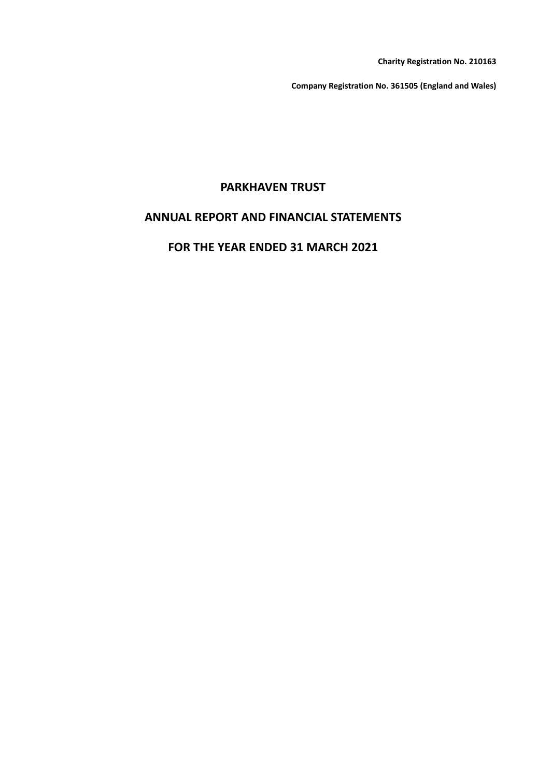**Charity Registration No. 210163**

**Company Registration No. 361505 (England and Wales)**

# **PARKHAVEN TRUST**

# **ANNUAL REPORT AND FINANCIAL STATEMENTS**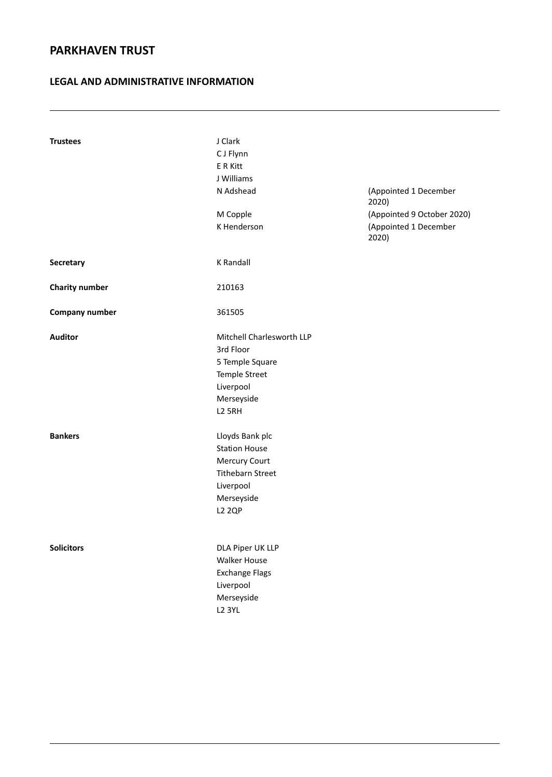### **LEGAL AND ADMINISTRATIVE INFORMATION**

| <b>Trustees</b>       | J Clark                   |                                |
|-----------------------|---------------------------|--------------------------------|
|                       | C J Flynn                 |                                |
|                       | E R Kitt                  |                                |
|                       | J Williams                |                                |
|                       | N Adshead                 | (Appointed 1 December<br>2020) |
|                       | M Copple                  | (Appointed 9 October 2020)     |
|                       | K Henderson               | (Appointed 1 December<br>2020) |
| Secretary             | K Randall                 |                                |
| <b>Charity number</b> | 210163                    |                                |
| <b>Company number</b> | 361505                    |                                |
| <b>Auditor</b>        | Mitchell Charlesworth LLP |                                |
|                       | 3rd Floor                 |                                |
|                       | 5 Temple Square           |                                |
|                       | <b>Temple Street</b>      |                                |
|                       | Liverpool                 |                                |
|                       | Merseyside                |                                |
|                       | <b>L2 5RH</b>             |                                |
| <b>Bankers</b>        | Lloyds Bank plc           |                                |
|                       | <b>Station House</b>      |                                |
|                       | Mercury Court             |                                |
|                       | <b>Tithebarn Street</b>   |                                |
|                       | Liverpool                 |                                |
|                       | Merseyside                |                                |
|                       | <b>L2 2QP</b>             |                                |
|                       |                           |                                |
| <b>Solicitors</b>     | DLA Piper UK LLP          |                                |
|                       | <b>Walker House</b>       |                                |
|                       | <b>Exchange Flags</b>     |                                |
|                       | Liverpool                 |                                |
|                       | Merseyside                |                                |
|                       | <b>L2 3YL</b>             |                                |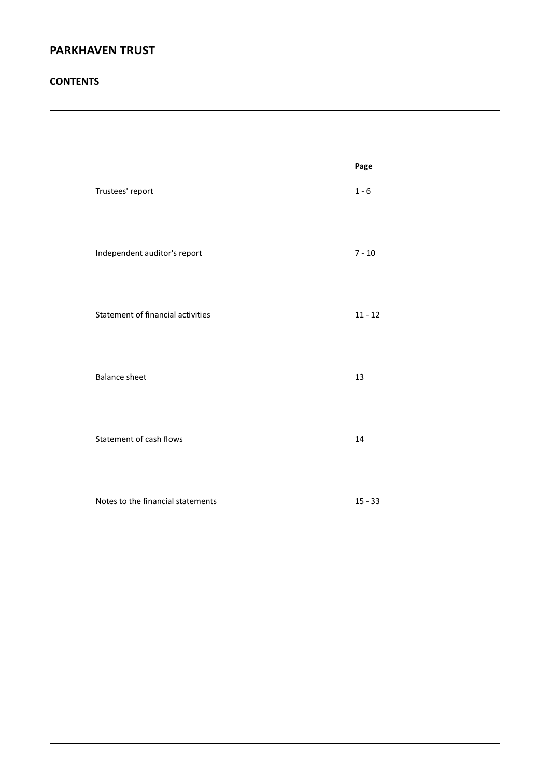### **CONTENTS**

|                                   | Page      |
|-----------------------------------|-----------|
| Trustees' report                  | $1 - 6$   |
| Independent auditor's report      | $7 - 10$  |
| Statement of financial activities | $11 - 12$ |
| <b>Balance sheet</b>              | 13        |
| Statement of cash flows           | 14        |
| Notes to the financial statements | $15 - 33$ |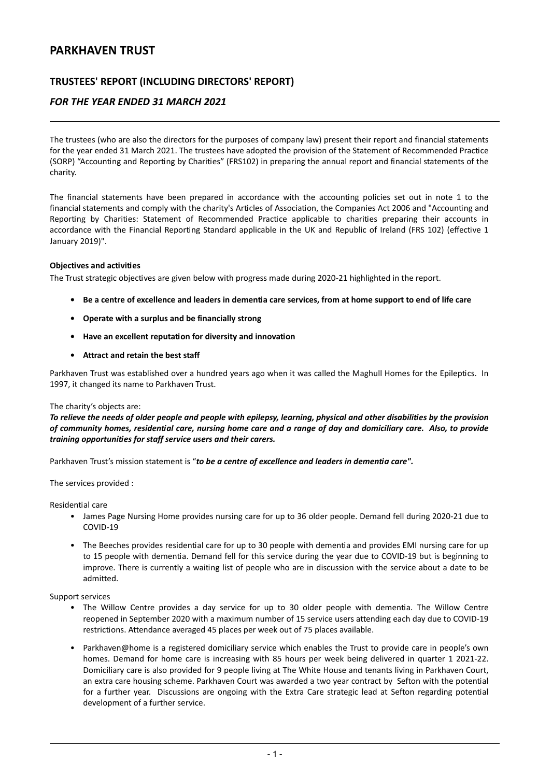### **TRUSTEES' REPORT (INCLUDING DIRECTORS' REPORT)**

### *FOR THE YEAR ENDED 31 MARCH 2021*

The trustees (who are also the directors for the purposes of company law) present their report and financial statements for the year ended 31 March 2021. The trustees have adopted the provision of the Statement of Recommended Practice (SORP) "Accounting and Reporting by Charities" (FRS102) in preparing the annual report and financial statements of the charity.

The financial statements have been prepared in accordance with the accounting policies set out in note 1 to the financial statements and comply with the charity's Articles of Association, the Companies Act 2006 and "Accounting and Reporting by Charities: Statement of Recommended Practice applicable to charities preparing their accounts in accordance with the Financial Reporting Standard applicable in the UK and Republic of Ireland (FRS 102) (effective 1 January 2019)".

#### **Objectives and activities**

The Trust strategic objectives are given below with progress made during 2020-21 highlighted in the report.

- Be a centre of excellence and leaders in dementia care services, from at home support to end of life care
- **• Operate with a surplus and be financially strong**
- **• Have an excellent reputation for diversity and innovation**
- **• Attract and retain the best staff**

Parkhaven Trust was established over a hundred years ago when it was called the Maghull Homes for the Epileptics. In 1997, it changed its name to Parkhaven Trust.

#### The charity's objects are:

To relieve the needs of older people and people with epilepsy, learning, physical and other disabilities by the provision of community homes, residential care, nursing home care and a range of day and domiciliary care. Also, to provide *training opportunities for staff service users and their carers.*

Parkhaven Trust's mission statement is "*to be a centre of excellence and leaders in dementia care".*

The services provided :

Residential care

- James Page Nursing Home provides nursing care for up to 36 older people. Demand fell during 2020-21 due to COVID-19
- The Beeches provides residential care for up to 30 people with dementia and provides EMI nursing care for up to 15 people with dementia. Demand fell for this service during the year due to COVID-19 but is beginning to improve. There is currently a waiting list of people who are in discussion with the service about a date to be admitted.

Support services

- The Willow Centre provides a day service for up to 30 older people with dementia. The Willow Centre reopened in September 2020 with a maximum number of 15 service users attending each day due to COVID-19 restrictions. Attendance averaged 45 places per week out of 75 places available.
- Parkhaven@home is a registered domiciliary service which enables the Trust to provide care in people's own homes. Demand for home care is increasing with 85 hours per week being delivered in quarter 1 2021-22. Domiciliary care is also provided for 9 people living at The White House and tenants living in Parkhaven Court, an extra care housing scheme. Parkhaven Court was awarded a two year contract by Sefton with the potential for a further year. Discussions are ongoing with the Extra Care strategic lead at Sefton regarding potential development of a further service.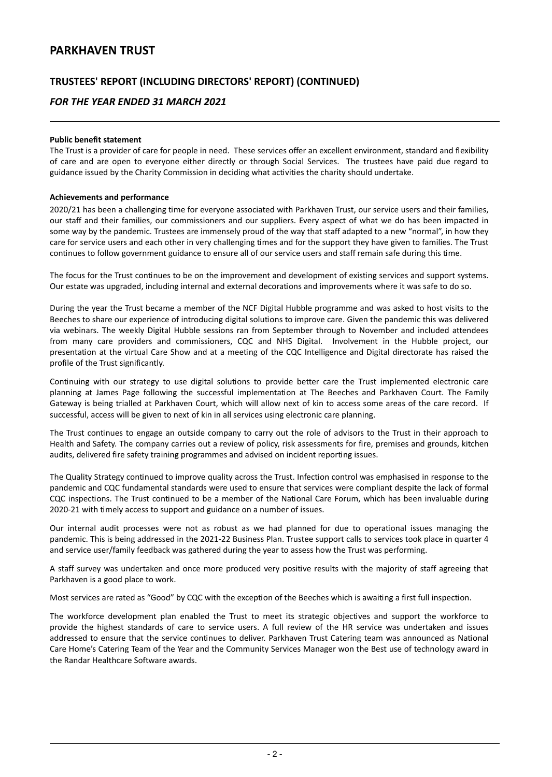### **TRUSTEES' REPORT (INCLUDING DIRECTORS' REPORT) (CONTINUED)**

### *FOR THE YEAR ENDED 31 MARCH 2021*

#### **Public benefit statement**

The Trust is a provider of care for people in need. These services offer an excellent environment, standard and flexibility of care and are open to everyone either directly or through Social Services. The trustees have paid due regard to guidance issued by the Charity Commission in deciding what activities the charity should undertake.

#### **Achievements and performance**

2020/21 has been a challenging time for everyone associated with Parkhaven Trust, our service users and their families, our staff and their families, our commissioners and our suppliers. Every aspect of what we do has been impacted in some way by the pandemic. Trustees are immensely proud of the way that staff adapted to a new "normal", in how they care for service users and each other in very challenging times and for the support they have given to families. The Trust continues to follow government guidance to ensure all of our service users and staff remain safe during this time.

The focus for the Trust continues to be on the improvement and development of existing services and support systems. Our estate was upgraded, including internal and external decorations and improvements where it was safe to do so.

During the year the Trust became a member of the NCF Digital Hubble programme and was asked to host visits to the Beeches to share our experience of introducing digital solutions to improve care. Given the pandemic this was delivered via webinars. The weekly Digital Hubble sessions ran from September through to November and included attendees from many care providers and commissioners, CQC and NHS Digital. Involvement in the Hubble project, our presentation at the virtual Care Show and at a meeting of the CQC Intelligence and Digital directorate has raised the profile of the Trust significantly.

Continuing with our strategy to use digital solutions to provide better care the Trust implemented electronic care planning at James Page following the successful implementation at The Beeches and Parkhaven Court. The Family Gateway is being trialled at Parkhaven Court, which will allow next of kin to access some areas of the care record. If successful, access will be given to next of kin in all services using electronic care planning.

The Trust continues to engage an outside company to carry out the role of advisors to the Trust in their approach to Health and Safety. The company carries out a review of policy, risk assessments for fire, premises and grounds, kitchen audits, delivered fire safety training programmes and advised on incident reporting issues.

The Quality Strategy continued to improve quality across the Trust. Infection control was emphasised in response to the pandemic and CQC fundamental standards were used to ensure that services were compliant despite the lack of formal CQC inspections. The Trust continued to be a member of the National Care Forum, which has been invaluable during 2020-21 with timely access to support and guidance on a number of issues.

Our internal audit processes were not as robust as we had planned for due to operational issues managing the pandemic. This is being addressed in the 2021-22 Business Plan. Trustee support calls to services took place in quarter 4 and service user/family feedback was gathered during the year to assess how the Trust was performing.

A staff survey was undertaken and once more produced very positive results with the majority of staff agreeing that Parkhaven is a good place to work.

Most services are rated as "Good" by CQC with the exception of the Beeches which is awaiting a first full inspection.

The workforce development plan enabled the Trust to meet its strategic objectives and support the workforce to provide the highest standards of care to service users. A full review of the HR service was undertaken and issues addressed to ensure that the service continues to deliver. Parkhaven Trust Catering team was announced as National Care Home's Catering Team of the Year and the Community Services Manager won the Best use of technology award in the Randar Healthcare Software awards.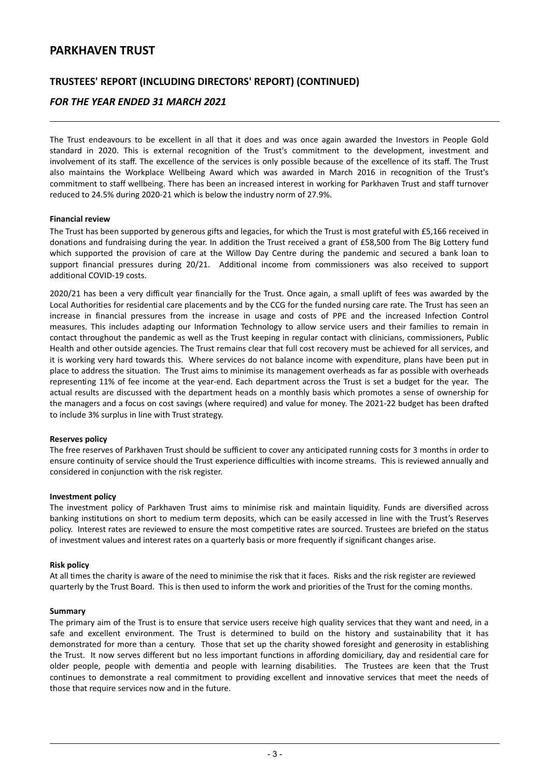### **TRUSTEES' REPORT (INCLUDING DIRECTORS' REPORT) (CONTINUED)**

### *FOR THE YEAR ENDED 31 MARCH 2021*

The Trust endeavours to be excellent in all that it does and was once again awarded the Investors in People Gold standard in 2020. This is external recognition of the Trust's commitment to the development, investment and involvement of its staff. The excellence of the services is only possible because of the excellence of its staff. The Trust also maintains the Workplace Wellbeing Award which was awarded in March 2016 in recognition of the Trust's commitment to staff wellbeing. There has been an increased interest in working for Parkhaven Trust and staff turnover reduced to 24.5% during 2020-21 which is below the industry norm of 27.9%.

#### **Financial review**

The Trust has been supported by generous gifts and legacies, for which the Trust is most grateful with £5,166 received in donations and fundraising during the year. In addition the Trust received a grant of £58,500 from The Big Lottery fund which supported the provision of care at the Willow Day Centre during the pandemic and secured a bank loan to support financial pressures during 20/21. Additional income from commissioners was also received to support additional COVID-19 costs.

2020/21 has been a very difficult year financially for the Trust. Once again, a small uplift of fees was awarded by the Local Authorities for residential care placements and by the CCG for the funded nursing care rate. The Trust has seen an increase in financial pressures from the increase in usage and costs of PPE and the increased Infection Control measures. This includes adapting our Information Technology to allow service users and their families to remain in contact throughout the pandemic as well as the Trust keeping in regular contact with clinicians, commissioners, Public Health and other outside agencies. The Trust remains clear that full cost recovery must be achieved for all services, and it is working very hard towards this. Where services do not balance income with expenditure, plans have been put in place to address the situation. The Trust aims to minimise its management overheads as far as possible with overheads representing 11% of fee income at the year-end. Each department across the Trust is set a budget for the year. The actual results are discussed with the department heads on a monthly basis which promotes a sense of ownership for the managers and a focus on cost savings (where required) and value for money. The 2021-22 budget has been drafted to include 3% surplus in line with Trust strategy.

#### **Reserves policy**

The free reserves of Parkhaven Trust should be sufficient to cover any anticipated running costs for 3 months in order to ensure continuity of service should the Trust experience difficulties with income streams. This is reviewed annually and considered in conjunction with the risk register.

#### **Investment policy**

The investment policy of Parkhaven Trust aims to minimise risk and maintain liquidity. Funds are diversified across banking institutions on short to medium term deposits, which can be easily accessed in line with the Trust's Reserves policy. Interest rates are reviewed to ensure the most competitive rates are sourced. Trustees are briefed on the status of investment values and interest rates on a quarterly basis or more frequently if significant changes arise.

#### **Risk policy**

At all times the charity is aware of the need to minimise the risk that it faces. Risks and the risk register are reviewed quarterly by the Trust Board. This is then used to inform the work and priorities of the Trust for the coming months.

#### **Summary**

The primary aim of the Trust is to ensure that service users receive high quality services that they want and need, in a safe and excellent environment. The Trust is determined to build on the history and sustainability that it has demonstrated for more than a century. Those that set up the charity showed foresight and generosity in establishing the Trust. It now serves different but no less important functions in affording domiciliary, day and residential care for older people, people with dementia and people with learning disabilities. The Trustees are keen that the Trust continues to demonstrate a real commitment to providing excellent and innovative services that meet the needs of those that require services now and in the future.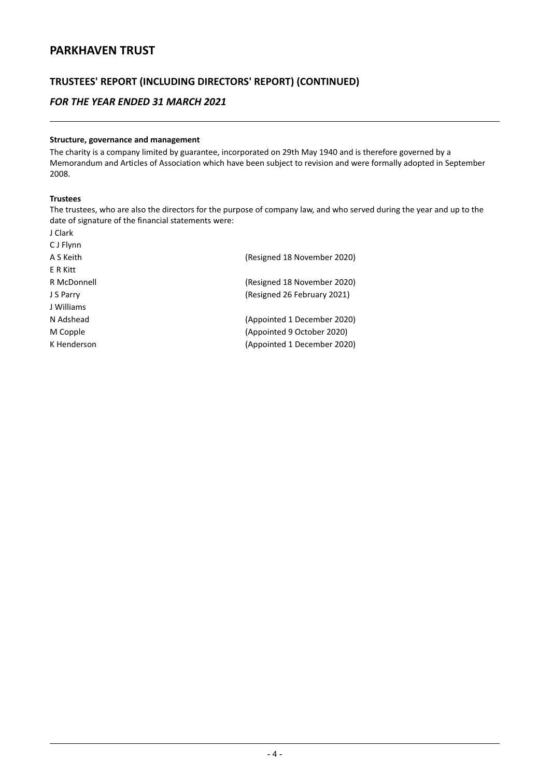# **TRUSTEES' REPORT (INCLUDING DIRECTORS' REPORT) (CONTINUED)**

### *FOR THE YEAR ENDED 31 MARCH 2021*

#### **Structure, governance and management**

The charity is a company limited by guarantee, incorporated on 29th May 1940 and is therefore governed by a Memorandum and Articles of Association which have been subject to revision and were formally adopted in September 2008.

#### **Trustees**

J Clark

The trustees, who are also the directors for the purpose of company law, and who served during the year and up to the date of signature of the financial statements were:

| C J Flynn   |                             |
|-------------|-----------------------------|
| A S Keith   | (Resigned 18 November 2020) |
| E R Kitt    |                             |
| R McDonnell | (Resigned 18 November 2020) |
| J S Parry   | (Resigned 26 February 2021) |
| J Williams  |                             |
| N Adshead   | (Appointed 1 December 2020) |
| M Copple    | (Appointed 9 October 2020)  |
| K Henderson | (Appointed 1 December 2020) |
|             |                             |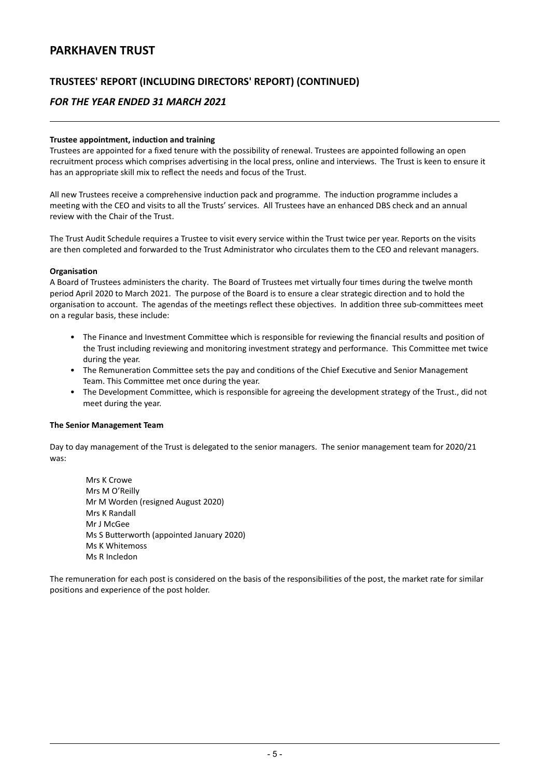### **TRUSTEES' REPORT (INCLUDING DIRECTORS' REPORT) (CONTINUED)**

### *FOR THE YEAR ENDED 31 MARCH 2021*

#### **Trustee appointment, induction and training**

Trustees are appointed for a fixed tenure with the possibility of renewal. Trustees are appointed following an open recruitment process which comprises advertising in the local press, online and interviews. The Trust is keen to ensure it has an appropriate skill mix to reflect the needs and focus of the Trust.

All new Trustees receive a comprehensive induction pack and programme. The induction programme includes a meeting with the CEO and visits to all the Trusts' services. All Trustees have an enhanced DBS check and an annual review with the Chair of the Trust.

The Trust Audit Schedule requires a Trustee to visit every service within the Trust twice per year. Reports on the visits are then completed and forwarded to the Trust Administrator who circulates them to the CEO and relevant managers.

#### **Organisation**

A Board of Trustees administers the charity. The Board of Trustees met virtually four times during the twelve month period April 2020 to March 2021. The purpose of the Board is to ensure a clear strategic direction and to hold the organisation to account. The agendas of the meetings reflect these objectives. In addition three sub-committees meet on a regular basis, these include:

- The Finance and Investment Committee which is responsible for reviewing the financial results and position of the Trust including reviewing and monitoring investment strategy and performance. This Committee met twice during the year.
- The Remuneration Committee sets the pay and conditions of the Chief Executive and Senior Management Team. This Committee met once during the year.
- The Development Committee, which is responsible for agreeing the development strategy of the Trust., did not meet during the year.

#### **The Senior Management Team**

Day to day management of the Trust is delegated to the senior managers. The senior management team for 2020/21 was:

Mrs K Crowe Mrs M O'Reilly Mr M Worden (resigned August 2020) Mrs K Randall Mr J McGee Ms S Butterworth (appointed January 2020) Ms K Whitemoss Ms R Incledon

The remuneration for each post is considered on the basis of the responsibilities of the post, the market rate for similar positions and experience of the post holder.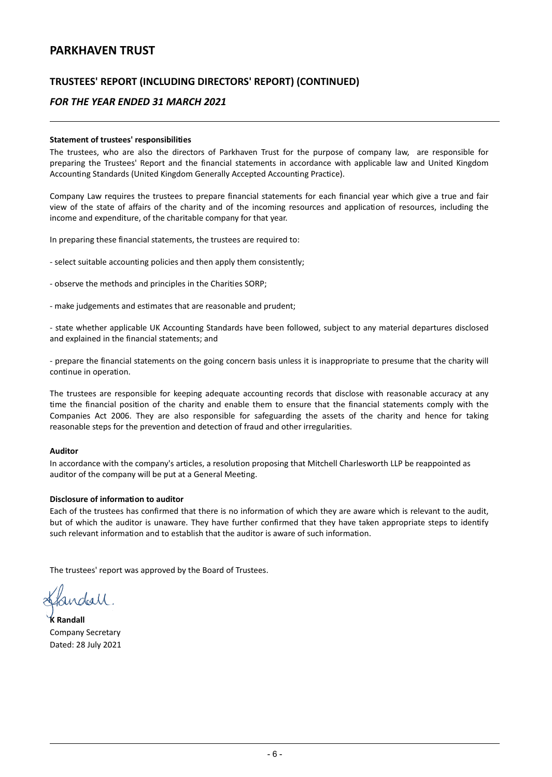### **TRUSTEES' REPORT (INCLUDING DIRECTORS' REPORT) (CONTINUED)**

### *FOR THE YEAR ENDED 31 MARCH 2021*

#### **Statement of trustees' responsibilities**

The trustees, who are also the directors of Parkhaven Trust for the purpose of company law, are responsible for preparing the Trustees' Report and the financial statements in accordance with applicable law and United Kingdom Accounting Standards (United Kingdom Generally Accepted Accounting Practice).

Company Law requires the trustees to prepare financial statements for each financial year which give a true and fair view of the state of affairs of the charity and of the incoming resources and application of resources, including the income and expenditure, of the charitable company for that year.

In preparing these financial statements, the trustees are required to:

- select suitable accounting policies and then apply them consistently;
- observe the methods and principles in the Charities SORP;
- make judgements and estimates that are reasonable and prudent;

- state whether applicable UK Accounting Standards have been followed, subject to any material departures disclosed and explained in the financial statements; and

- prepare the financial statements on the going concern basis unless it is inappropriate to presume that the charity will continue in operation.

The trustees are responsible for keeping adequate accounting records that disclose with reasonable accuracy at any time the financial position of the charity and enable them to ensure that the financial statements comply with the Companies Act 2006. They are also responsible for safeguarding the assets of the charity and hence for taking reasonable steps for the prevention and detection of fraud and other irregularities.

#### **Auditor**

In accordance with the company's articles, a resolution proposing that Mitchell Charlesworth LLP be reappointed as auditor of the company will be put at a General Meeting.

#### **Disclosure of information to auditor**

Each of the trustees has confirmed that there is no information of which they are aware which is relevant to the audit, but of which the auditor is unaware. They have further confirmed that they have taken appropriate steps to identify such relevant information and to establish that the auditor is aware of such information.

The trustees' report was approved by the Board of Trustees.

fandall.

**K Randall** Company Secretary Dated: 28 July 2021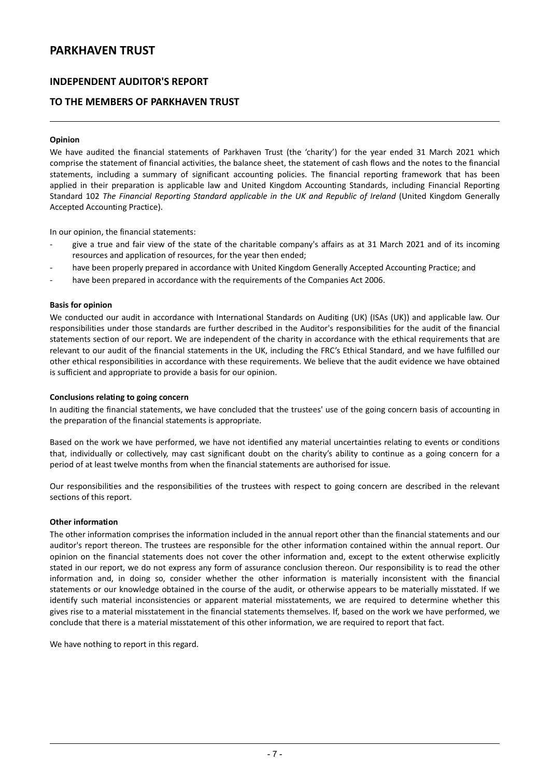### **INDEPENDENT AUDITOR'S REPORT**

### **TO THE MEMBERS OF PARKHAVEN TRUST**

#### **Opinion**

We have audited the financial statements of Parkhaven Trust (the 'charity') for the year ended 31 March 2021 which comprise the statement of financial activities, the balance sheet, the statement of cash flows and the notes to the financial statements, including a summary of significant accounting policies. The financial reporting framework that has been applied in their preparation is applicable law and United Kingdom Accounting Standards, including Financial Reporting Standard 102 *The Financial Reporting Standard applicable in the UK and Republic of Ireland* (United Kingdom Generally Accepted Accounting Practice).

In our opinion, the financial statements:

- give a true and fair view of the state of the charitable company's affairs as at 31 March 2021 and of its incoming resources and application of resources, for the year then ended;
- have been properly prepared in accordance with United Kingdom Generally Accepted Accounting Practice; and
- have been prepared in accordance with the requirements of the Companies Act 2006.

#### **Basis for opinion**

We conducted our audit in accordance with International Standards on Auditing (UK) (ISAs (UK)) and applicable law. Our responsibilities under those standards are further described in the Auditor's responsibilities for the audit of the financial statements section of our report. We are independent of the charity in accordance with the ethical requirements that are relevant to our audit of the financial statements in the UK, including the FRC's Ethical Standard, and we have fulfilled our other ethical responsibilities in accordance with these requirements. We believe that the audit evidence we have obtained is sufficient and appropriate to provide a basis for our opinion.

#### **Conclusions relating to going concern**

In auditing the financial statements, we have concluded that the trustees' use of the going concern basis of accounting in the preparation of the financial statements is appropriate.

Based on the work we have performed, we have not identified any material uncertainties relating to events or conditions that, individually or collectively, may cast significant doubt on the charity's ability to continue as a going concern for a period of at least twelve months from when the financial statements are authorised for issue.

Our responsibilities and the responsibilities of the trustees with respect to going concern are described in the relevant sections of this report.

#### **Other information**

The other information comprises the information included in the annual report other than the financial statements and our auditor's report thereon. The trustees are responsible for the other information contained within the annual report. Our opinion on the financial statements does not cover the other information and, except to the extent otherwise explicitly stated in our report, we do not express any form of assurance conclusion thereon. Our responsibility is to read the other information and, in doing so, consider whether the other information is materially inconsistent with the financial statements or our knowledge obtained in the course of the audit, or otherwise appears to be materially misstated. If we identify such material inconsistencies or apparent material misstatements, we are required to determine whether this gives rise to a material misstatement in the financial statements themselves. If, based on the work we have performed, we conclude that there is a material misstatement of this other information, we are required to report that fact.

We have nothing to report in this regard.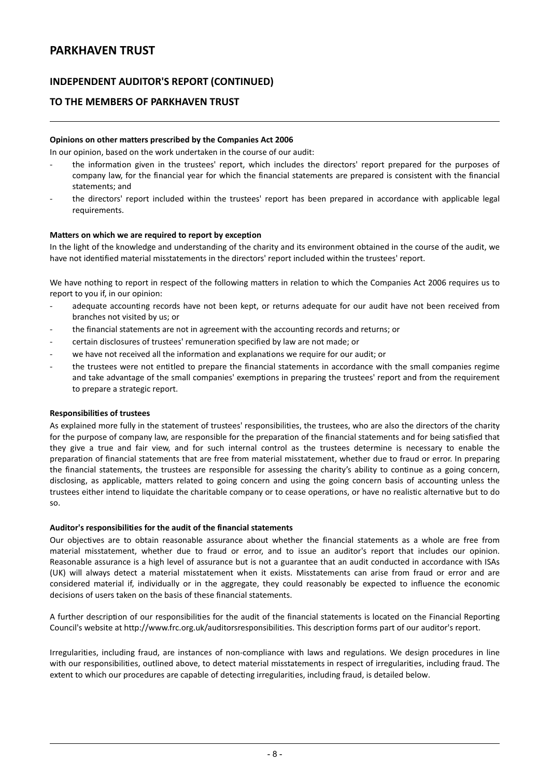### **INDEPENDENT AUDITOR'S REPORT (CONTINUED)**

### **TO THE MEMBERS OF PARKHAVEN TRUST**

#### **Opinions on other matters prescribed by the Companies Act 2006**

In our opinion, based on the work undertaken in the course of our audit:

- the information given in the trustees' report, which includes the directors' report prepared for the purposes of company law, for the financial year for which the financial statements are prepared is consistent with the financial statements; and
- the directors' report included within the trustees' report has been prepared in accordance with applicable legal requirements.

#### **Matters on which we are required to report by exception**

In the light of the knowledge and understanding of the charity and its environment obtained in the course of the audit, we have not identified material misstatements in the directors' report included within the trustees' report.

We have nothing to report in respect of the following matters in relation to which the Companies Act 2006 requires us to report to you if, in our opinion:

- adequate accounting records have not been kept, or returns adequate for our audit have not been received from branches not visited by us; or
- the financial statements are not in agreement with the accounting records and returns; or
- certain disclosures of trustees' remuneration specified by law are not made; or
- we have not received all the information and explanations we require for our audit; or
- the trustees were not entitled to prepare the financial statements in accordance with the small companies regime and take advantage of the small companies' exemptions in preparing the trustees' report and from the requirement to prepare a strategic report.

#### **Responsibilities of trustees**

As explained more fully in the statement of trustees' responsibilities, the trustees, who are also the directors of the charity for the purpose of company law, are responsible for the preparation of the financial statements and for being satisfied that they give a true and fair view, and for such internal control as the trustees determine is necessary to enable the preparation of financial statements that are free from material misstatement, whether due to fraud or error. In preparing the financial statements, the trustees are responsible for assessing the charity's ability to continue as a going concern, disclosing, as applicable, matters related to going concern and using the going concern basis of accounting unless the trustees either intend to liquidate the charitable company or to cease operations, or have no realistic alternative but to do so.

#### **Auditor's responsibilities for the audit of the financial statements**

Our objectives are to obtain reasonable assurance about whether the financial statements as a whole are free from material misstatement, whether due to fraud or error, and to issue an auditor's report that includes our opinion. Reasonable assurance is a high level of assurance but is not a guarantee that an audit conducted in accordance with ISAs (UK) will always detect a material misstatement when it exists. Misstatements can arise from fraud or error and are considered material if, individually or in the aggregate, they could reasonably be expected to influence the economic decisions of users taken on the basis of these financial statements.

A further description of our responsibilities for the audit of the financial statements is located on the Financial Reporting Council's website at http://www.frc.org.uk/auditorsresponsibilities. This description forms part of our auditor's report.

Irregularities, including fraud, are instances of non-compliance with laws and regulations. We design procedures in line with our responsibilities, outlined above, to detect material misstatements in respect of irregularities, including fraud. The extent to which our procedures are capable of detecting irregularities, including fraud, is detailed below.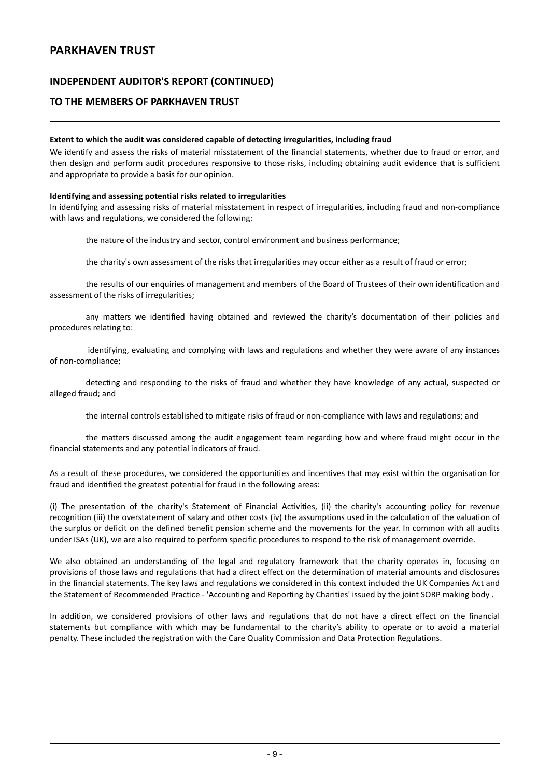### **INDEPENDENT AUDITOR'S REPORT (CONTINUED)**

### **TO THE MEMBERS OF PARKHAVEN TRUST**

#### **Extent to which the audit was considered capable of detecting irregularities, including fraud**

We identify and assess the risks of material misstatement of the financial statements, whether due to fraud or error, and then design and perform audit procedures responsive to those risks, including obtaining audit evidence that is sufficient and appropriate to provide a basis for our opinion.

#### **Identifying and assessing potential risks related to irregularities**

In identifying and assessing risks of material misstatement in respect of irregularities, including fraud and non-compliance with laws and regulations, we considered the following:

the nature of the industry and sector, control environment and business performance;

the charity's own assessment of the risks that irregularities may occur either as a result of fraud or error;

the results of our enquiries of management and members of the Board of Trustees of their own identification and assessment of the risks of irregularities;

any matters we identified having obtained and reviewed the charity's documentation of their policies and procedures relating to:

identifying, evaluating and complying with laws and regulations and whether they were aware of any instances of non-compliance;

detecting and responding to the risks of fraud and whether they have knowledge of any actual, suspected or alleged fraud; and

the internal controls established to mitigate risks of fraud or non-compliance with laws and regulations; and

the matters discussed among the audit engagement team regarding how and where fraud might occur in the financial statements and any potential indicators of fraud.

As a result of these procedures, we considered the opportunities and incentives that may exist within the organisation for fraud and identified the greatest potential for fraud in the following areas:

(i) The presentation of the charity's Statement of Financial Activities, (ii) the charity's accounting policy for revenue recognition (iii) the overstatement of salary and other costs (iv) the assumptions used in the calculation of the valuation of the surplus or deficit on the defined benefit pension scheme and the movements for the year. In common with all audits under ISAs (UK), we are also required to perform specific procedures to respond to the risk of management override.

We also obtained an understanding of the legal and regulatory framework that the charity operates in, focusing on provisions of those laws and regulations that had a direct effect on the determination of material amounts and disclosures in the financial statements. The key laws and regulations we considered in this context included the UK Companies Act and the Statement of Recommended Practice - 'Accounting and Reporting by Charities' issued by the joint SORP making body .

In addition, we considered provisions of other laws and regulations that do not have a direct effect on the financial statements but compliance with which may be fundamental to the charity's ability to operate or to avoid a material penalty. These included the registration with the Care Quality Commission and Data Protection Regulations.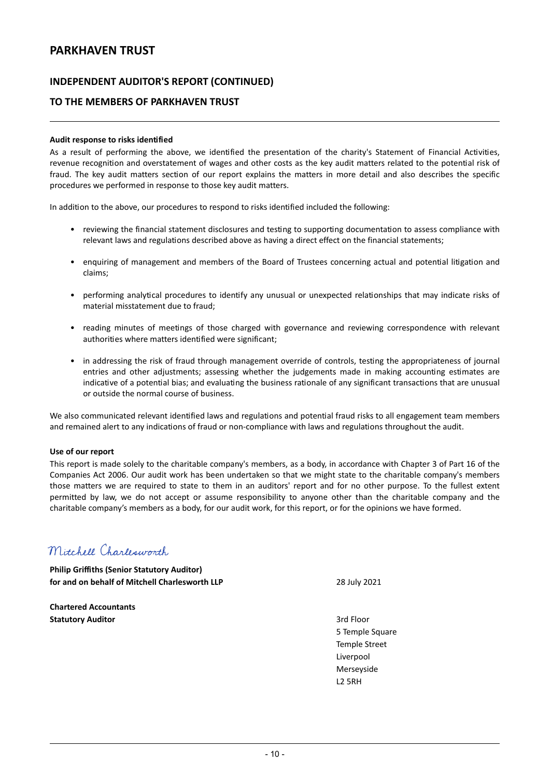### **INDEPENDENT AUDITOR'S REPORT (CONTINUED)**

### **TO THE MEMBERS OF PARKHAVEN TRUST**

#### **Audit response to risks identified**

As a result of performing the above, we identified the presentation of the charity's Statement of Financial Activities, revenue recognition and overstatement of wages and other costs as the key audit matters related to the potential risk of fraud. The key audit matters section of our report explains the matters in more detail and also describes the specific procedures we performed in response to those key audit matters.

In addition to the above, our procedures to respond to risks identified included the following:

- reviewing the financial statement disclosures and testing to supporting documentation to assess compliance with relevant laws and regulations described above as having a direct effect on the financial statements;
- enquiring of management and members of the Board of Trustees concerning actual and potential litigation and claims;
- performing analytical procedures to identify any unusual or unexpected relationships that may indicate risks of material misstatement due to fraud;
- reading minutes of meetings of those charged with governance and reviewing correspondence with relevant authorities where matters identified were significant;
- in addressing the risk of fraud through management override of controls, testing the appropriateness of journal entries and other adjustments; assessing whether the judgements made in making accounting estimates are indicative of a potential bias; and evaluating the business rationale of any significant transactions that are unusual or outside the normal course of business.

We also communicated relevant identified laws and regulations and potential fraud risks to all engagement team members and remained alert to any indications of fraud or non-compliance with laws and regulations throughout the audit.

#### **Use of our report**

This report is made solely to the charitable company's members, as a body, in accordance with Chapter 3 of Part 16 of the Companies Act 2006. Our audit work has been undertaken so that we might state to the charitable company's members those matters we are required to state to them in an auditors' report and for no other purpose. To the fullest extent permitted by law, we do not accept or assume responsibility to anyone other than the charitable company and the charitable company's members as a body, for our audit work, for this report, or for the opinions we have formed.

# Mitchell Charlesworth

**Philip Griffiths (Senior Statutory Auditor) for and on behalf of Mitchell Charlesworth LLP** 28 July 2021

**Chartered Accountants Statutory Auditor** 3rd Floor

5 Temple Square Temple Street Liverpool Merseyside L2 5RH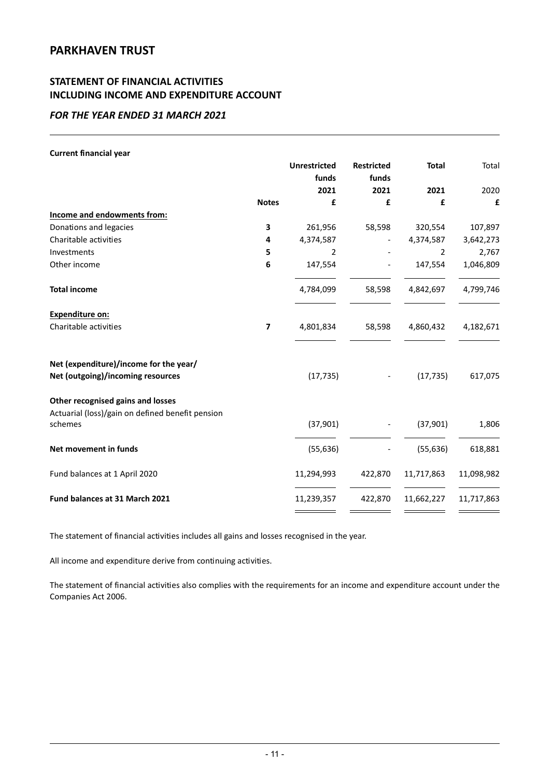# **STATEMENT OF FINANCIAL ACTIVITIES INCLUDING INCOME AND EXPENDITURE ACCOUNT**

### *FOR THE YEAR ENDED 31 MARCH 2021*

| <b>Current financial year</b>                               |                          |                     |                   |              |            |
|-------------------------------------------------------------|--------------------------|---------------------|-------------------|--------------|------------|
|                                                             |                          | <b>Unrestricted</b> | <b>Restricted</b> | <b>Total</b> | Total      |
|                                                             |                          | funds               | funds             |              |            |
|                                                             |                          | 2021                | 2021              | 2021         | 2020       |
|                                                             | <b>Notes</b>             | £                   | £                 | £            | £          |
| Income and endowments from:                                 |                          |                     |                   |              |            |
| Donations and legacies                                      | 3                        | 261,956             | 58,598            | 320,554      | 107,897    |
| Charitable activities                                       | 4                        | 4,374,587           |                   | 4,374,587    | 3,642,273  |
| Investments                                                 | 5                        | 2                   |                   | 2            | 2,767      |
| Other income                                                | 6                        | 147,554             |                   | 147,554      | 1,046,809  |
| <b>Total income</b>                                         |                          | 4,784,099           | 58,598            | 4,842,697    | 4,799,746  |
| <b>Expenditure on:</b>                                      |                          |                     |                   |              |            |
| Charitable activities                                       | $\overline{\phantom{a}}$ | 4,801,834           | 58,598            | 4,860,432    | 4,182,671  |
| Net (expenditure)/income for the year/                      |                          |                     |                   |              |            |
| Net (outgoing)/incoming resources                           |                          | (17, 735)           |                   | (17, 735)    | 617,075    |
| Other recognised gains and losses                           |                          |                     |                   |              |            |
| Actuarial (loss)/gain on defined benefit pension<br>schemes |                          | (37,901)            |                   | (37, 901)    | 1,806      |
| Net movement in funds                                       |                          | (55, 636)           |                   | (55, 636)    | 618,881    |
| Fund balances at 1 April 2020                               |                          | 11,294,993          | 422,870           | 11,717,863   | 11,098,982 |
| Fund balances at 31 March 2021                              |                          | 11,239,357          | 422,870           | 11,662,227   | 11,717,863 |
|                                                             |                          |                     |                   |              |            |

The statement of financial activities includes all gains and losses recognised in the year.

All income and expenditure derive from continuing activities.

The statement of financial activities also complies with the requirements for an income and expenditure account under the Companies Act 2006.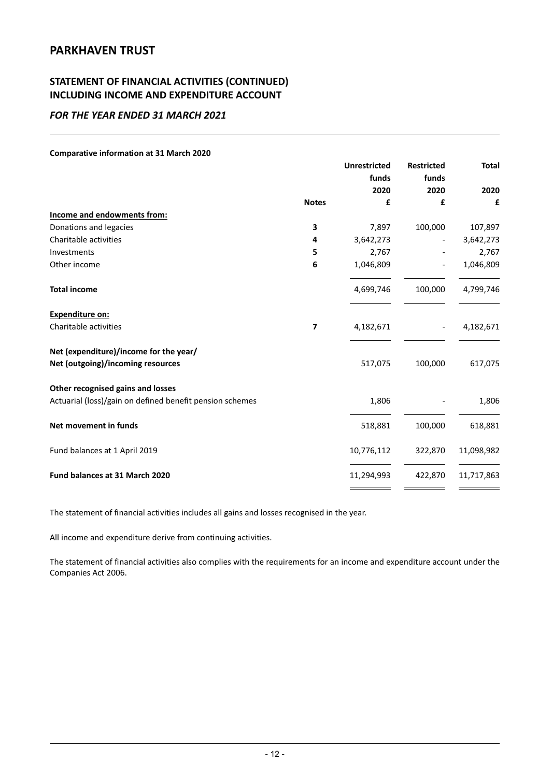# **STATEMENT OF FINANCIAL ACTIVITIES (CONTINUED) INCLUDING INCOME AND EXPENDITURE ACCOUNT**

### *FOR THE YEAR ENDED 31 MARCH 2021*

#### **Comparative information at 31 March 2020**

|                                                          |              | <b>Unrestricted</b><br>funds<br>2020 | <b>Restricted</b><br>funds<br>2020 | <b>Total</b><br>2020 |
|----------------------------------------------------------|--------------|--------------------------------------|------------------------------------|----------------------|
|                                                          | <b>Notes</b> | £                                    | £                                  | £                    |
| Income and endowments from:                              |              |                                      |                                    |                      |
| Donations and legacies                                   | 3            | 7,897                                | 100,000                            | 107,897              |
| Charitable activities                                    | 4            | 3,642,273                            |                                    | 3,642,273            |
| Investments                                              | 5            | 2,767                                |                                    | 2,767                |
| Other income                                             | 6            | 1,046,809                            |                                    | 1,046,809            |
| <b>Total income</b>                                      |              | 4,699,746                            | 100,000                            | 4,799,746            |
| Expenditure on:                                          |              |                                      |                                    |                      |
| Charitable activities                                    | 7            | 4,182,671                            |                                    | 4,182,671            |
| Net (expenditure)/income for the year/                   |              |                                      |                                    |                      |
| Net (outgoing)/incoming resources                        |              | 517,075                              | 100,000                            | 617,075              |
| Other recognised gains and losses                        |              |                                      |                                    |                      |
| Actuarial (loss)/gain on defined benefit pension schemes |              | 1,806                                |                                    | 1,806                |
| Net movement in funds                                    |              | 518,881                              | 100,000                            | 618,881              |
| Fund balances at 1 April 2019                            |              | 10,776,112                           | 322,870                            | 11,098,982           |
| Fund balances at 31 March 2020                           |              | 11,294,993                           | 422,870                            | 11,717,863           |
|                                                          |              |                                      |                                    |                      |

The statement of financial activities includes all gains and losses recognised in the year.

All income and expenditure derive from continuing activities.

The statement of financial activities also complies with the requirements for an income and expenditure account under the Companies Act 2006.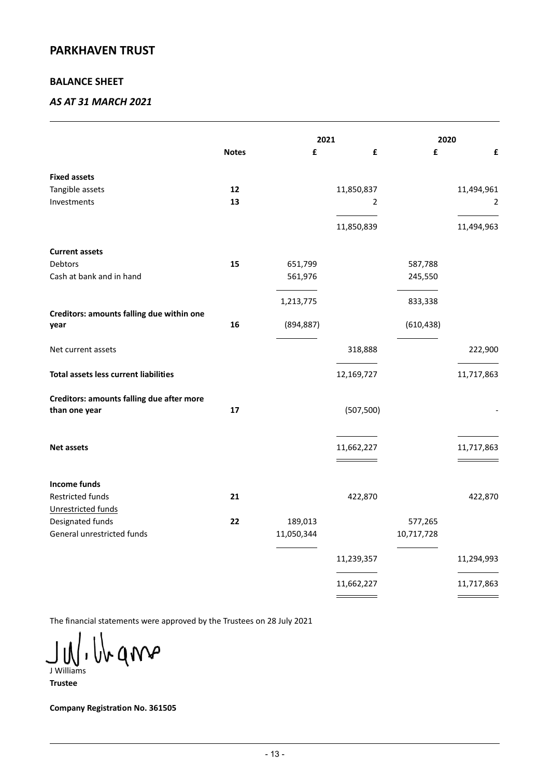### **BALANCE SHEET**

### *AS AT 31 MARCH 2021*

|                                                            |              |            | 2021       | 2020       |            |
|------------------------------------------------------------|--------------|------------|------------|------------|------------|
|                                                            | <b>Notes</b> | £          | £          | £          | £          |
| <b>Fixed assets</b>                                        |              |            |            |            |            |
| Tangible assets                                            | 12           |            | 11,850,837 |            | 11,494,961 |
| Investments                                                | 13           |            | 2          |            | 2          |
|                                                            |              |            | 11,850,839 |            | 11,494,963 |
| <b>Current assets</b>                                      |              |            |            |            |            |
| Debtors                                                    | 15           | 651,799    |            | 587,788    |            |
| Cash at bank and in hand                                   |              | 561,976    |            | 245,550    |            |
|                                                            |              | 1,213,775  |            | 833,338    |            |
| Creditors: amounts falling due within one<br>year          | 16           | (894, 887) |            | (610, 438) |            |
| Net current assets                                         |              |            | 318,888    |            | 222,900    |
| Total assets less current liabilities                      |              |            | 12,169,727 |            | 11,717,863 |
| Creditors: amounts falling due after more<br>than one year | 17           |            | (507, 500) |            |            |
| <b>Net assets</b>                                          |              |            | 11,662,227 |            | 11,717,863 |
|                                                            |              |            |            |            |            |
| Income funds                                               |              |            |            |            |            |
| Restricted funds                                           | 21           |            | 422,870    |            | 422,870    |
| Unrestricted funds                                         |              |            |            |            |            |
| Designated funds                                           | 22           | 189,013    |            | 577,265    |            |
| General unrestricted funds                                 |              | 11,050,344 |            | 10,717,728 |            |
|                                                            |              |            | 11,239,357 |            | 11,294,993 |
|                                                            |              |            | 11,662,227 |            | 11,717,863 |

The financial statements were approved by the Trustees on 28 July 2021

wann J Williams

**Trustee**

**Company Registration No. 361505**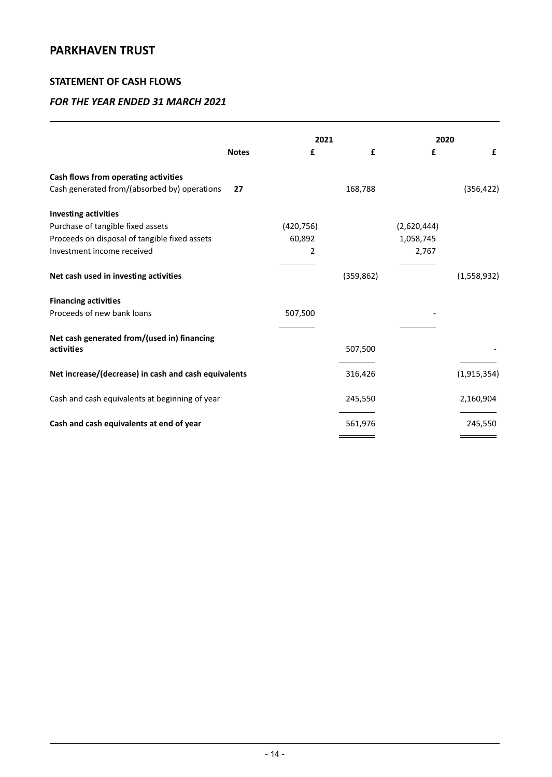### **STATEMENT OF CASH FLOWS**

|                                                      |              |            | 2021       |             | 2020        |  |
|------------------------------------------------------|--------------|------------|------------|-------------|-------------|--|
|                                                      | <b>Notes</b> | £          | £          | £           | £           |  |
| Cash flows from operating activities                 |              |            |            |             |             |  |
| Cash generated from/(absorbed by) operations         | 27           |            | 168,788    |             | (356, 422)  |  |
| <b>Investing activities</b>                          |              |            |            |             |             |  |
| Purchase of tangible fixed assets                    |              | (420, 756) |            | (2,620,444) |             |  |
| Proceeds on disposal of tangible fixed assets        |              | 60,892     |            | 1,058,745   |             |  |
| Investment income received                           |              | 2          |            | 2,767       |             |  |
|                                                      |              |            |            |             |             |  |
| Net cash used in investing activities                |              |            | (359, 862) |             | (1,558,932) |  |
| <b>Financing activities</b>                          |              |            |            |             |             |  |
| Proceeds of new bank loans                           |              | 507,500    |            |             |             |  |
| Net cash generated from/(used in) financing          |              |            |            |             |             |  |
| activities                                           |              |            | 507,500    |             |             |  |
| Net increase/(decrease) in cash and cash equivalents |              |            | 316,426    |             | (1,915,354) |  |
| Cash and cash equivalents at beginning of year       |              |            | 245,550    |             | 2,160,904   |  |
| Cash and cash equivalents at end of year             |              |            | 561,976    |             | 245,550     |  |
|                                                      |              |            |            |             |             |  |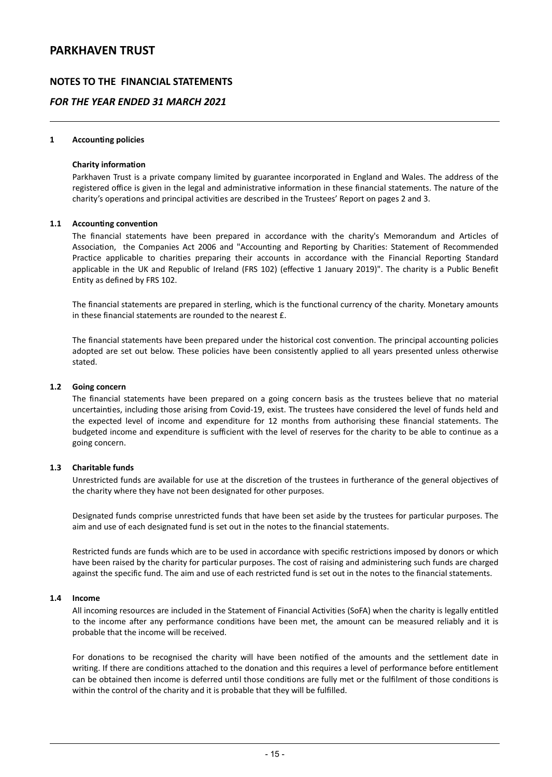### **NOTES TO THE FINANCIAL STATEMENTS**

### *FOR THE YEAR ENDED 31 MARCH 2021*

#### **1 Accounting policies**

#### **Charity information**

Parkhaven Trust is a private company limited by guarantee incorporated in England and Wales. The address of the registered office is given in the legal and administrative information in these financial statements. The nature of the charity's operations and principal activities are described in the Trustees' Report on pages 2 and 3.

#### **1.1 Accounting convention**

The financial statements have been prepared in accordance with the charity's Memorandum and Articles of Association, the Companies Act 2006 and "Accounting and Reporting by Charities: Statement of Recommended Practice applicable to charities preparing their accounts in accordance with the Financial Reporting Standard applicable in the UK and Republic of Ireland (FRS 102) (effective 1 January 2019)". The charity is a Public Benefit Entity as defined by FRS 102.

The financial statements are prepared in sterling, which is the functional currency of the charity. Monetary amounts in these financial statements are rounded to the nearest £.

The financial statements have been prepared under the historical cost convention. The principal accounting policies adopted are set out below. These policies have been consistently applied to all years presented unless otherwise stated.

#### **1.2 Going concern**

The financial statements have been prepared on a going concern basis as the trustees believe that no material uncertainties, including those arising from Covid-19, exist. The trustees have considered the level of funds held and the expected level of income and expenditure for 12 months from authorising these financial statements. The budgeted income and expenditure is sufficient with the level of reserves for the charity to be able to continue as a going concern.

#### **1.3 Charitable funds**

Unrestricted funds are available for use at the discretion of the trustees in furtherance of the general objectives of the charity where they have not been designated for other purposes.

Designated funds comprise unrestricted funds that have been set aside by the trustees for particular purposes. The aim and use of each designated fund is set out in the notes to the financial statements.

Restricted funds are funds which are to be used in accordance with specific restrictions imposed by donors or which have been raised by the charity for particular purposes. The cost of raising and administering such funds are charged against the specific fund. The aim and use of each restricted fund is set out in the notes to the financial statements.

#### **1.4 Income**

All incoming resources are included in the Statement of Financial Activities (SoFA) when the charity is legally entitled to the income after any performance conditions have been met, the amount can be measured reliably and it is probable that the income will be received.

For donations to be recognised the charity will have been notified of the amounts and the settlement date in writing. If there are conditions attached to the donation and this requires a level of performance before entitlement can be obtained then income is deferred until those conditions are fully met or the fulfilment of those conditions is within the control of the charity and it is probable that they will be fulfilled.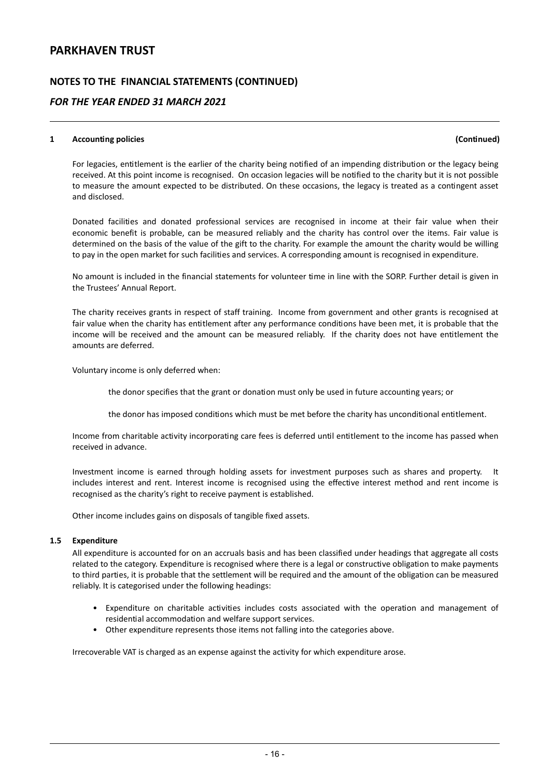### **NOTES TO THE FINANCIAL STATEMENTS (CONTINUED)**

### *FOR THE YEAR ENDED 31 MARCH 2021*

#### **1 Accounting policies (Continued)**

For legacies, entitlement is the earlier of the charity being notified of an impending distribution or the legacy being received. At this point income is recognised. On occasion legacies will be notified to the charity but it is not possible to measure the amount expected to be distributed. On these occasions, the legacy is treated as a contingent asset and disclosed.

Donated facilities and donated professional services are recognised in income at their fair value when their economic benefit is probable, can be measured reliably and the charity has control over the items. Fair value is determined on the basis of the value of the gift to the charity. For example the amount the charity would be willing to pay in the open market for such facilities and services. A corresponding amount is recognised in expenditure.

No amount is included in the financial statements for volunteer time in line with the SORP. Further detail is given in the Trustees' Annual Report.

The charity receives grants in respect of staff training. Income from government and other grants is recognised at fair value when the charity has entitlement after any performance conditions have been met, it is probable that the income will be received and the amount can be measured reliably. If the charity does not have entitlement the amounts are deferred.

Voluntary income is only deferred when:

the donor specifies that the grant or donation must only be used in future accounting years; or

the donor has imposed conditions which must be met before the charity has unconditional entitlement.

Income from charitable activity incorporating care fees is deferred until entitlement to the income has passed when received in advance.

Investment income is earned through holding assets for investment purposes such as shares and property. It includes interest and rent. Interest income is recognised using the effective interest method and rent income is recognised as the charity's right to receive payment is established.

Other income includes gains on disposals of tangible fixed assets.

#### **1.5 Expenditure**

All expenditure is accounted for on an accruals basis and has been classified under headings that aggregate all costs related to the category. Expenditure is recognised where there is a legal or constructive obligation to make payments to third parties, it is probable that the settlement will be required and the amount of the obligation can be measured reliably. It is categorised under the following headings:

- Expenditure on charitable activities includes costs associated with the operation and management of residential accommodation and welfare support services.
- Other expenditure represents those items not falling into the categories above.

Irrecoverable VAT is charged as an expense against the activity for which expenditure arose.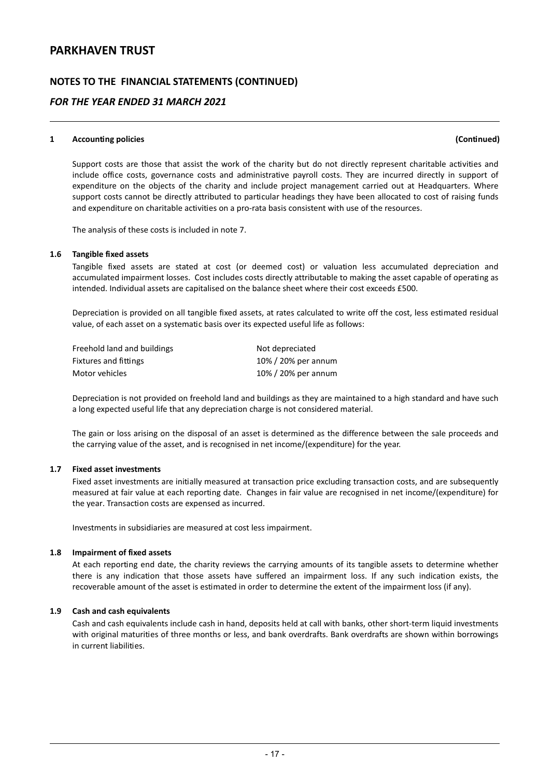### **NOTES TO THE FINANCIAL STATEMENTS (CONTINUED)**

### *FOR THE YEAR ENDED 31 MARCH 2021*

#### **1 Accounting policies (Continued)**

Support costs are those that assist the work of the charity but do not directly represent charitable activities and include office costs, governance costs and administrative payroll costs. They are incurred directly in support of expenditure on the objects of the charity and include project management carried out at Headquarters. Where support costs cannot be directly attributed to particular headings they have been allocated to cost of raising funds and expenditure on charitable activities on a pro-rata basis consistent with use of the resources.

The analysis of these costs is included in note 7.

#### **1.6 Tangible fixed assets**

Tangible fixed assets are stated at cost (or deemed cost) or valuation less accumulated depreciation and accumulated impairment losses. Cost includes costs directly attributable to making the asset capable of operating as intended. Individual assets are capitalised on the balance sheet where their cost exceeds £500.

Depreciation is provided on all tangible fixed assets, at rates calculated to write off the cost, less estimated residual value, of each asset on a systematic basis over its expected useful life as follows:

| Freehold land and buildings | Not depreciated     |
|-----------------------------|---------------------|
| Fixtures and fittings       | 10% / 20% per annum |
| Motor vehicles              | 10% / 20% per annum |

Depreciation is not provided on freehold land and buildings as they are maintained to a high standard and have such a long expected useful life that any depreciation charge is not considered material.

The gain or loss arising on the disposal of an asset is determined as the difference between the sale proceeds and the carrying value of the asset, and is recognised in net income/(expenditure) for the year.

### **1.7 Fixed asset investments**

Fixed asset investments are initially measured at transaction price excluding transaction costs, and are subsequently measured at fair value at each reporting date. Changes in fair value are recognised in net income/(expenditure) for the year. Transaction costs are expensed as incurred.

Investments in subsidiaries are measured at cost less impairment.

#### **1.8 Impairment of fixed assets**

At each reporting end date, the charity reviews the carrying amounts of its tangible assets to determine whether there is any indication that those assets have suffered an impairment loss. If any such indication exists, the recoverable amount of the asset is estimated in order to determine the extent of the impairment loss (if any).

#### **1.9 Cash and cash equivalents**

Cash and cash equivalents include cash in hand, deposits held at call with banks, other short-term liquid investments with original maturities of three months or less, and bank overdrafts. Bank overdrafts are shown within borrowings in current liabilities.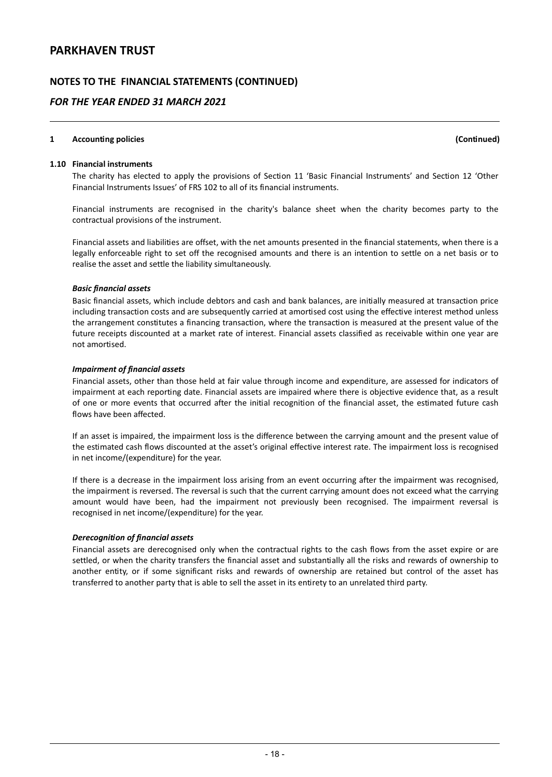### **NOTES TO THE FINANCIAL STATEMENTS (CONTINUED)**

### *FOR THE YEAR ENDED 31 MARCH 2021*

#### **1 Accounting policies (Continued)**

**1.10 Financial instruments**

The charity has elected to apply the provisions of Section 11 'Basic Financial Instruments' and Section 12 'Other Financial Instruments Issues' of FRS 102 to all of its financial instruments.

Financial instruments are recognised in the charity's balance sheet when the charity becomes party to the contractual provisions of the instrument.

Financial assets and liabilities are offset, with the net amounts presented in the financial statements, when there is a legally enforceable right to set off the recognised amounts and there is an intention to settle on a net basis or to realise the asset and settle the liability simultaneously.

#### *Basic financial assets*

Basic financial assets, which include debtors and cash and bank balances, are initially measured at transaction price including transaction costs and are subsequently carried at amortised cost using the effective interest method unless the arrangement constitutes a financing transaction, where the transaction is measured at the present value of the future receipts discounted at a market rate of interest. Financial assets classified as receivable within one year are not amortised.

#### *Impairment of financial assets*

Financial assets, other than those held at fair value through income and expenditure, are assessed for indicators of impairment at each reporting date. Financial assets are impaired where there is objective evidence that, as a result of one or more events that occurred after the initial recognition of the financial asset, the estimated future cash flows have been affected.

If an asset is impaired, the impairment loss is the difference between the carrying amount and the present value of the estimated cash flows discounted at the asset's original effective interest rate. The impairment loss is recognised in net income/(expenditure) for the year.

If there is a decrease in the impairment loss arising from an event occurring after the impairment was recognised, the impairment is reversed. The reversal is such that the current carrying amount does not exceed what the carrying amount would have been, had the impairment not previously been recognised. The impairment reversal is recognised in net income/(expenditure) for the year.

#### *Derecognition of financial assets*

Financial assets are derecognised only when the contractual rights to the cash flows from the asset expire or are settled, or when the charity transfers the financial asset and substantially all the risks and rewards of ownership to another entity, or if some significant risks and rewards of ownership are retained but control of the asset has transferred to another party that is able to sell the asset in its entirety to an unrelated third party.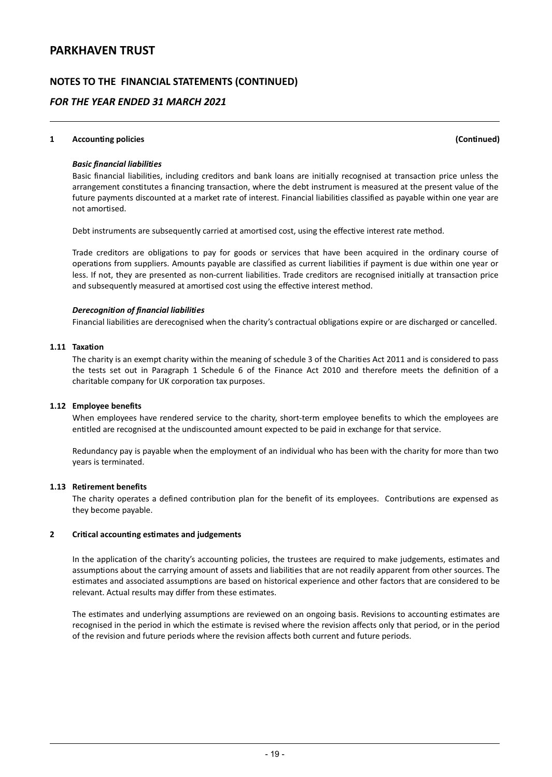### **NOTES TO THE FINANCIAL STATEMENTS (CONTINUED)**

### *FOR THE YEAR ENDED 31 MARCH 2021*

#### **1 Accounting policies (Continued)**

#### *Basic financial liabilities*

Basic financial liabilities, including creditors and bank loans are initially recognised at transaction price unless the arrangement constitutes a financing transaction, where the debt instrument is measured at the present value of the future payments discounted at a market rate of interest. Financial liabilities classified as payable within one year are not amortised.

Debt instruments are subsequently carried at amortised cost, using the effective interest rate method.

Trade creditors are obligations to pay for goods or services that have been acquired in the ordinary course of operations from suppliers. Amounts payable are classified as current liabilities if payment is due within one year or less. If not, they are presented as non-current liabilities. Trade creditors are recognised initially at transaction price and subsequently measured at amortised cost using the effective interest method.

#### *Derecognition of financial liabilities*

Financial liabilities are derecognised when the charity's contractual obligations expire or are discharged or cancelled.

#### **1.11 Taxation**

The charity is an exempt charity within the meaning of schedule 3 of the Charities Act 2011 and is considered to pass the tests set out in Paragraph 1 Schedule 6 of the Finance Act 2010 and therefore meets the definition of a charitable company for UK corporation tax purposes.

#### **1.12 Employee benefits**

When employees have rendered service to the charity, short-term employee benefits to which the employees are entitled are recognised at the undiscounted amount expected to be paid in exchange for that service.

Redundancy pay is payable when the employment of an individual who has been with the charity for more than two years is terminated.

#### **1.13 Retirement benefits**

The charity operates a defined contribution plan for the benefit of its employees. Contributions are expensed as they become payable.

#### **2 Critical accounting estimates and judgements**

In the application of the charity's accounting policies, the trustees are required to make judgements, estimates and assumptions about the carrying amount of assets and liabilities that are not readily apparent from other sources. The estimates and associated assumptions are based on historical experience and other factors that are considered to be relevant. Actual results may differ from these estimates.

The estimates and underlying assumptions are reviewed on an ongoing basis. Revisions to accounting estimates are recognised in the period in which the estimate is revised where the revision affects only that period, or in the period of the revision and future periods where the revision affects both current and future periods.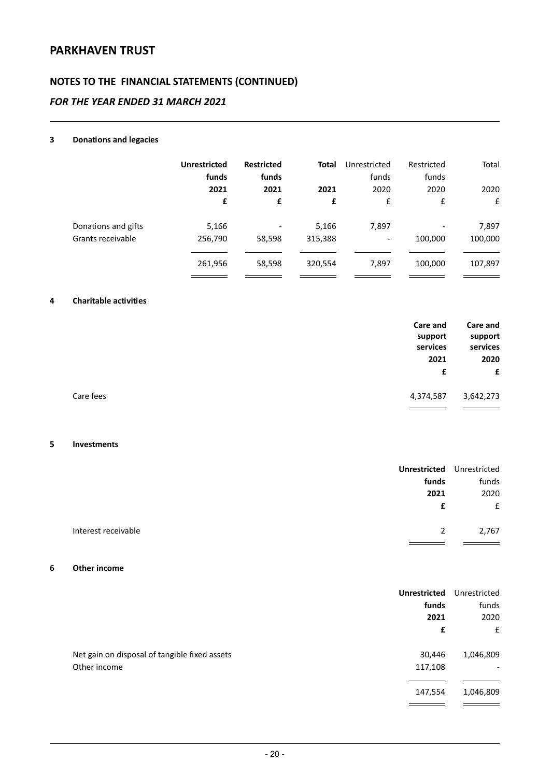# **NOTES TO THE FINANCIAL STATEMENTS (CONTINUED)**

### *FOR THE YEAR ENDED 31 MARCH 2021*

### **3 Donations and legacies**

|                     | <b>Unrestricted</b><br>funds<br>2021 | <b>Restricted</b><br>funds<br>2021 | <b>Total</b><br>2021 | Unrestricted<br>funds<br>2020 | Restricted<br>funds<br>2020 | Total<br>2020 |
|---------------------|--------------------------------------|------------------------------------|----------------------|-------------------------------|-----------------------------|---------------|
|                     | £                                    | £                                  | £                    | £                             | £                           | £             |
| Donations and gifts | 5,166                                | $\overline{\phantom{a}}$           | 5,166                | 7,897                         |                             | 7,897         |
| Grants receivable   | 256,790                              | 58,598                             | 315,388              | $\overline{\phantom{a}}$      | 100,000                     | 100,000       |
|                     |                                      |                                    |                      |                               |                             |               |
|                     | 261,956                              | 58,598                             | 320,554              | 7,897                         | 100,000                     | 107,897       |
|                     |                                      |                                    |                      |                               |                             |               |

#### **4 Charitable activities**

|           | Care and<br>support<br>services<br>2021<br>£ | <b>Care and</b><br>support<br>services<br>2020<br>E |
|-----------|----------------------------------------------|-----------------------------------------------------|
| Care fees | 4,374,587                                    | 3,642,273                                           |
|           |                                              |                                                     |

#### **5 Investments**

|                                    | <b>Unrestricted</b> Unrestricted |
|------------------------------------|----------------------------------|
| funds                              | funds                            |
| 2021                               | 2020                             |
| £                                  | f                                |
|                                    |                                  |
| Interest receivable<br>$2^{\circ}$ | 2,767                            |
|                                    |                                  |

#### **6 Other income**

|                                               | <b>Unrestricted</b> | Unrestricted             |
|-----------------------------------------------|---------------------|--------------------------|
|                                               | funds               | funds                    |
|                                               | 2021                | 2020                     |
|                                               | £                   | £                        |
| Net gain on disposal of tangible fixed assets | 30,446              | 1,046,809                |
| Other income                                  | 117,108             | $\overline{\phantom{a}}$ |
|                                               | 147,554             | 1,046,809                |
|                                               |                     |                          |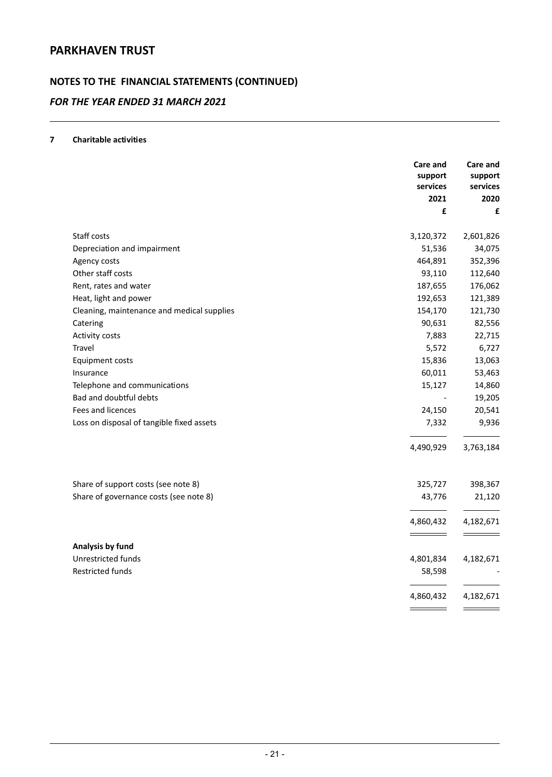# **NOTES TO THE FINANCIAL STATEMENTS (CONTINUED)**

### *FOR THE YEAR ENDED 31 MARCH 2021*

### **7 Charitable activities**

|                                            | Care and<br>support<br>services<br>2021 | Care and<br>support<br>services<br>2020 |
|--------------------------------------------|-----------------------------------------|-----------------------------------------|
|                                            | £                                       | £                                       |
|                                            |                                         |                                         |
| Staff costs                                | 3,120,372<br>51,536                     | 2,601,826<br>34,075                     |
| Depreciation and impairment                | 464,891                                 |                                         |
| Agency costs<br>Other staff costs          | 93,110                                  | 352,396<br>112,640                      |
| Rent, rates and water                      | 187,655                                 | 176,062                                 |
| Heat, light and power                      | 192,653                                 | 121,389                                 |
| Cleaning, maintenance and medical supplies | 154,170                                 | 121,730                                 |
| Catering                                   | 90,631                                  | 82,556                                  |
| Activity costs                             | 7,883                                   | 22,715                                  |
| Travel                                     | 5,572                                   | 6,727                                   |
| <b>Equipment costs</b>                     | 15,836                                  | 13,063                                  |
| Insurance                                  | 60,011                                  | 53,463                                  |
| Telephone and communications               | 15,127                                  | 14,860                                  |
| Bad and doubtful debts                     |                                         | 19,205                                  |
| Fees and licences                          | 24,150                                  | 20,541                                  |
| Loss on disposal of tangible fixed assets  | 7,332                                   | 9,936                                   |
|                                            |                                         |                                         |
|                                            | 4,490,929                               | 3,763,184                               |
| Share of support costs (see note 8)        | 325,727                                 | 398,367                                 |
| Share of governance costs (see note 8)     | 43,776                                  | 21,120                                  |
|                                            |                                         |                                         |
|                                            | 4,860,432                               | 4,182,671                               |
| Analysis by fund                           |                                         |                                         |
| Unrestricted funds                         | 4,801,834                               | 4,182,671                               |
| Restricted funds                           | 58,598                                  |                                         |
|                                            | 4,860,432                               | 4,182,671                               |
|                                            |                                         |                                         |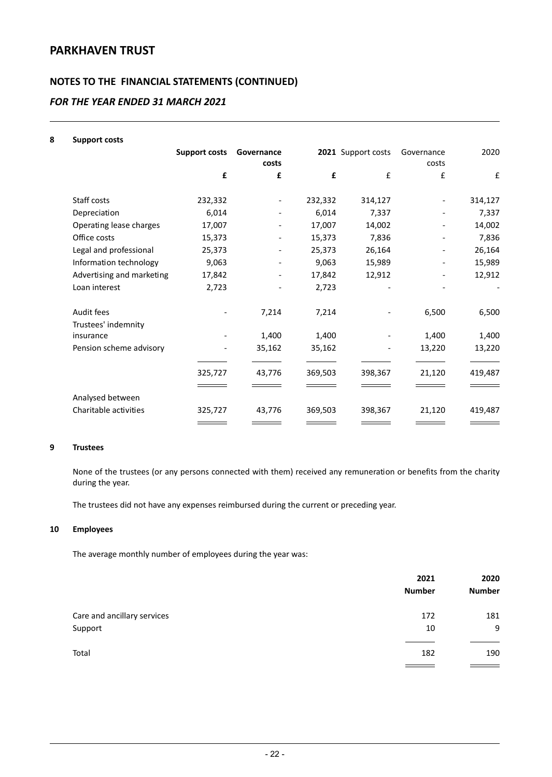# **NOTES TO THE FINANCIAL STATEMENTS (CONTINUED)**

### *FOR THE YEAR ENDED 31 MARCH 2021*

#### **8 Support costs**

|                           | <b>Support costs</b> | Governance<br>costs |         | 2021 Support costs | Governance<br>costs | 2020    |
|---------------------------|----------------------|---------------------|---------|--------------------|---------------------|---------|
|                           | £                    | £                   | £       | £                  | £                   | £       |
| Staff costs               | 232,332              |                     | 232,332 | 314,127            |                     | 314,127 |
| Depreciation              | 6,014                |                     | 6,014   | 7,337              |                     | 7,337   |
| Operating lease charges   | 17,007               |                     | 17,007  | 14,002             |                     | 14,002  |
| Office costs              | 15,373               |                     | 15,373  | 7,836              |                     | 7,836   |
| Legal and professional    | 25,373               |                     | 25,373  | 26,164             |                     | 26,164  |
| Information technology    | 9,063                |                     | 9,063   | 15,989             |                     | 15,989  |
| Advertising and marketing | 17,842               |                     | 17,842  | 12,912             |                     | 12,912  |
| Loan interest             | 2,723                |                     | 2,723   |                    |                     |         |
| Audit fees                |                      | 7,214               | 7,214   |                    | 6,500               | 6,500   |
| Trustees' indemnity       |                      |                     |         |                    |                     |         |
| insurance                 |                      | 1,400               | 1,400   |                    | 1,400               | 1,400   |
| Pension scheme advisory   |                      | 35,162              | 35,162  |                    | 13,220              | 13,220  |
|                           |                      |                     |         |                    |                     |         |
|                           | 325,727              | 43,776              | 369,503 | 398,367            | 21,120              | 419,487 |
|                           |                      |                     |         |                    |                     |         |
| Analysed between          |                      |                     |         |                    |                     |         |
| Charitable activities     | 325,727              | 43,776              | 369,503 | 398,367            | 21,120              | 419,487 |
|                           |                      |                     |         |                    |                     |         |

#### **9 Trustees**

None of the trustees (or any persons connected with them) received any remuneration or benefits from the charity during the year.

The trustees did not have any expenses reimbursed during the current or preceding year.

#### **10 Employees**

The average monthly number of employees during the year was:

|                             | 2021<br><b>Number</b> | 2020<br><b>Number</b> |
|-----------------------------|-----------------------|-----------------------|
| Care and ancillary services | 172                   | 181                   |
| Support                     | 10                    | 9                     |
|                             |                       |                       |
| Total                       | 182                   | 190                   |
|                             |                       |                       |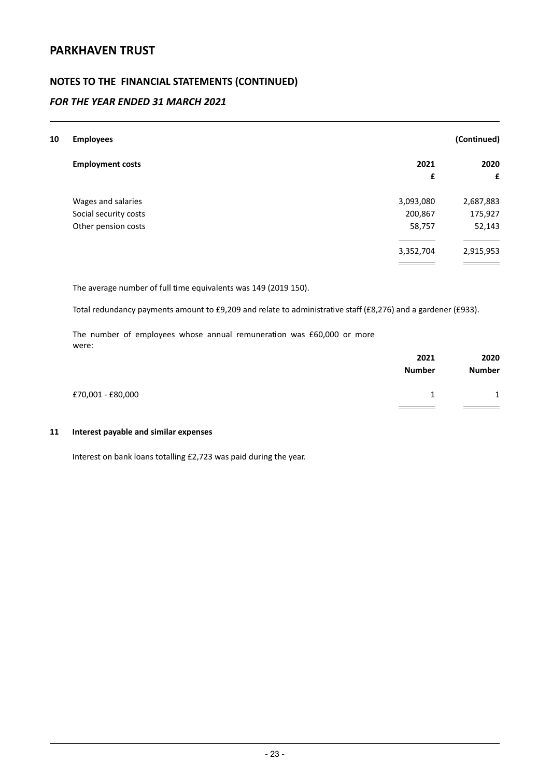### **NOTES TO THE FINANCIAL STATEMENTS (CONTINUED)**

### *FOR THE YEAR ENDED 31 MARCH 2021*

| 10 | <b>Employees</b>        |           | (Continued) |
|----|-------------------------|-----------|-------------|
|    | <b>Employment costs</b> | 2021      | 2020        |
|    |                         | £         | £           |
|    | Wages and salaries      | 3,093,080 | 2,687,883   |
|    | Social security costs   | 200,867   | 175,927     |
|    | Other pension costs     | 58,757    | 52,143      |
|    |                         |           |             |
|    |                         | 3,352,704 | 2,915,953   |
|    |                         |           |             |

The average number of full time equivalents was 149 (2019 150).

Total redundancy payments amount to £9,209 and relate to administrative staff (£8,276) and a gardener (£933).

The number of employees whose annual remuneration was £60,000 or more were:

|                   | 2021          | 2020          |
|-------------------|---------------|---------------|
|                   | <b>Number</b> | <b>Number</b> |
| £70,001 - £80,000 |               | $\mathbf{1}$  |
|                   |               |               |

### **11 Interest payable and similar expenses**

Interest on bank loans totalling £2,723 was paid during the year.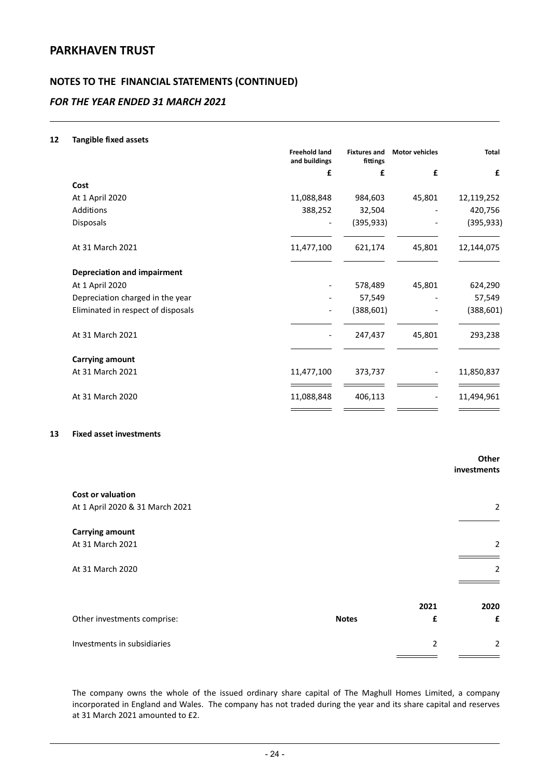### **NOTES TO THE FINANCIAL STATEMENTS (CONTINUED)**

### *FOR THE YEAR ENDED 31 MARCH 2021*

#### **12 Tangible fixed assets**

|                                    | <b>Freehold land</b><br>and buildings | <b>Fixtures and</b><br>fittings | <b>Motor vehicles</b> | <b>Total</b> |
|------------------------------------|---------------------------------------|---------------------------------|-----------------------|--------------|
|                                    | £                                     | £                               | £                     | £            |
| Cost                               |                                       |                                 |                       |              |
| At 1 April 2020                    | 11,088,848                            | 984,603                         | 45,801                | 12,119,252   |
| Additions                          | 388,252                               | 32,504                          |                       | 420,756      |
| Disposals                          |                                       | (395, 933)                      |                       | (395, 933)   |
| At 31 March 2021                   | 11,477,100                            | 621,174                         | 45,801                | 12,144,075   |
| <b>Depreciation and impairment</b> |                                       |                                 |                       |              |
| At 1 April 2020                    |                                       | 578,489                         | 45,801                | 624,290      |
| Depreciation charged in the year   |                                       | 57,549                          |                       | 57,549       |
| Eliminated in respect of disposals |                                       | (388, 601)                      |                       | (388, 601)   |
| At 31 March 2021                   |                                       | 247,437                         | 45,801                | 293,238      |
| <b>Carrying amount</b>             |                                       |                                 |                       |              |
| At 31 March 2021                   | 11,477,100                            | 373,737                         |                       | 11,850,837   |
| At 31 March 2020                   | 11,088,848                            | 406,113                         |                       | 11,494,961   |
|                                    |                                       |                                 |                       |              |

### **13 Fixed asset investments**

|                                 |              |                | Other<br>investments |
|---------------------------------|--------------|----------------|----------------------|
| <b>Cost or valuation</b>        |              |                |                      |
| At 1 April 2020 & 31 March 2021 |              |                | 2                    |
| <b>Carrying amount</b>          |              |                |                      |
| At 31 March 2021                |              |                | 2                    |
| At 31 March 2020                |              |                | 2                    |
|                                 |              |                |                      |
|                                 |              | 2021           | 2020                 |
| Other investments comprise:     | <b>Notes</b> | £              | £                    |
| Investments in subsidiaries     |              | $\overline{2}$ | 2                    |

The company owns the whole of the issued ordinary share capital of The Maghull Homes Limited, a company incorporated in England and Wales. The company has not traded during the year and its share capital and reserves at 31 March 2021 amounted to £2.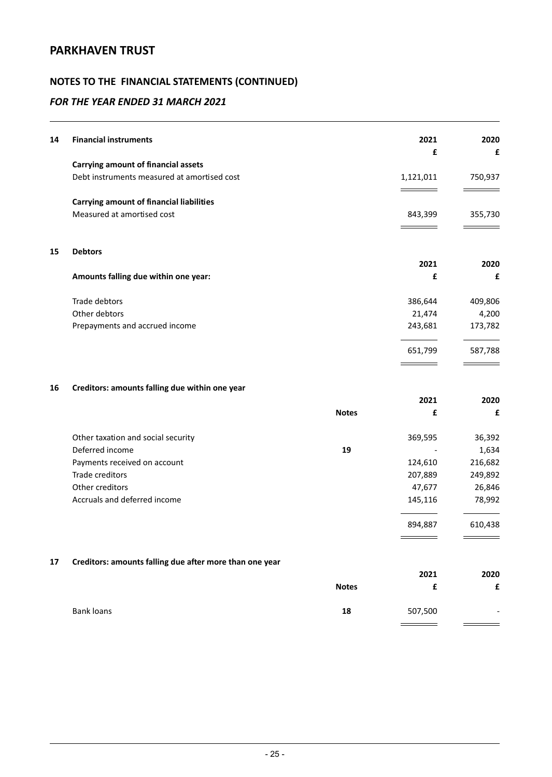# **NOTES TO THE FINANCIAL STATEMENTS (CONTINUED)**

### *FOR THE YEAR ENDED 31 MARCH 2021*

| 14 | <b>Financial instruments</b>                            |              | 2021      | 2020    |
|----|---------------------------------------------------------|--------------|-----------|---------|
|    |                                                         |              | £         | £       |
|    | <b>Carrying amount of financial assets</b>              |              |           |         |
|    | Debt instruments measured at amortised cost             |              | 1,121,011 | 750,937 |
|    | <b>Carrying amount of financial liabilities</b>         |              |           |         |
|    | Measured at amortised cost                              |              | 843,399   | 355,730 |
|    |                                                         |              |           |         |
| 15 | <b>Debtors</b>                                          |              |           |         |
|    |                                                         |              | 2021      | 2020    |
|    | Amounts falling due within one year:                    |              | £         | £       |
|    | Trade debtors                                           |              | 386,644   | 409,806 |
|    | Other debtors                                           |              | 21,474    | 4,200   |
|    | Prepayments and accrued income                          |              | 243,681   | 173,782 |
|    |                                                         |              | 651,799   | 587,788 |
| 16 | Creditors: amounts falling due within one year          |              |           |         |
|    |                                                         |              | 2021      | 2020    |
|    |                                                         | <b>Notes</b> | £         | £       |
|    | Other taxation and social security                      |              | 369,595   | 36,392  |
|    | Deferred income                                         | 19           |           | 1,634   |
|    | Payments received on account                            |              | 124,610   | 216,682 |
|    | Trade creditors                                         |              | 207,889   | 249,892 |
|    | Other creditors                                         |              | 47,677    | 26,846  |
|    | Accruals and deferred income                            |              | 145,116   | 78,992  |
|    |                                                         |              | 894,887   | 610,438 |
|    |                                                         |              |           |         |
| 17 | Creditors: amounts falling due after more than one year |              | 2021      | 2020    |
|    |                                                         | <b>Notes</b> | £         | £       |
|    |                                                         |              |           |         |

Bank loans **18** 507,500 -

L,

 $=$ 

 $\overline{\phantom{a}}$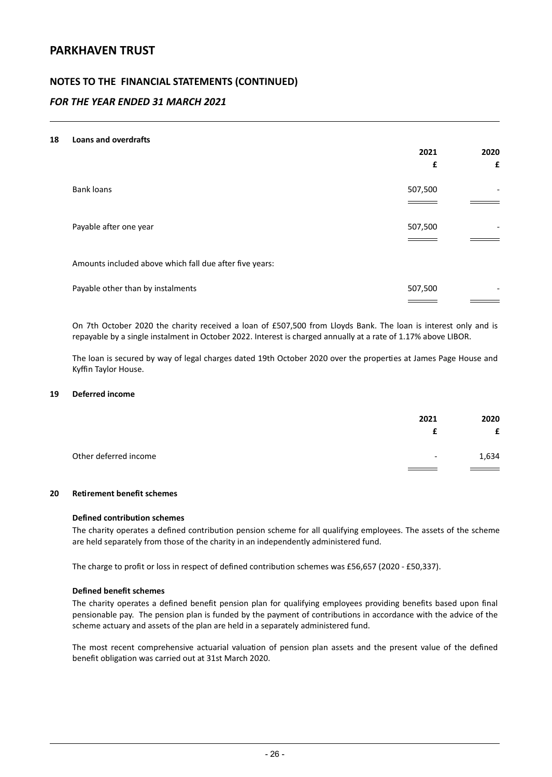### **NOTES TO THE FINANCIAL STATEMENTS (CONTINUED)**

### *FOR THE YEAR ENDED 31 MARCH 2021*

#### **18 Loans and overdrafts**

|                                                         | 2021<br>£ | 2020<br>£      |
|---------------------------------------------------------|-----------|----------------|
|                                                         |           |                |
| <b>Bank loans</b>                                       | 507,500   | -              |
|                                                         |           |                |
| Payable after one year                                  | 507,500   |                |
|                                                         |           |                |
| Amounts included above which fall due after five years: |           |                |
| Payable other than by instalments                       | 507,500   | $\overline{a}$ |
|                                                         |           |                |

On 7th October 2020 the charity received a loan of £507,500 from Lloyds Bank. The loan is interest only and is repayable by a single instalment in October 2022. Interest is charged annually at a rate of 1.17% above LIBOR.

The loan is secured by way of legal charges dated 19th October 2020 over the properties at James Page House and Kyffin Taylor House.

#### **19 Deferred income**

|                       | 2021                     | 2020                                         |
|-----------------------|--------------------------|----------------------------------------------|
|                       |                          | £                                            |
| Other deferred income | $\overline{\phantom{a}}$ | 1,634                                        |
|                       |                          | the control of the control of the control of |

### **20 Retirement benefit schemes**

#### **Defined contribution schemes**

The charity operates a defined contribution pension scheme for all qualifying employees. The assets of the scheme are held separately from those of the charity in an independently administered fund.

The charge to profit or loss in respect of defined contribution schemes was £56,657 (2020 - £50,337).

#### **Defined benefit schemes**

The charity operates a defined benefit pension plan for qualifying employees providing benefits based upon final pensionable pay. The pension plan is funded by the payment of contributions in accordance with the advice of the scheme actuary and assets of the plan are held in a separately administered fund.

The most recent comprehensive actuarial valuation of pension plan assets and the present value of the defined benefit obligation was carried out at 31st March 2020.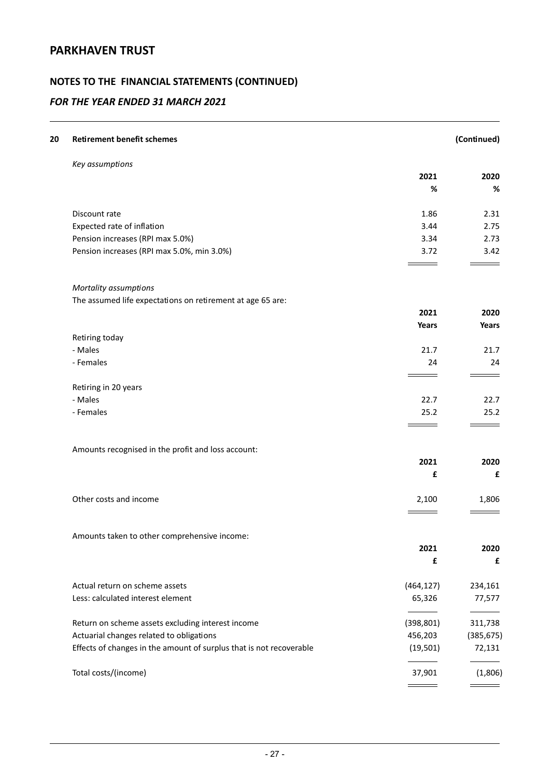# **NOTES TO THE FINANCIAL STATEMENTS (CONTINUED)**

| 20 | <b>Retirement benefit schemes</b>                                   |            | (Continued)  |
|----|---------------------------------------------------------------------|------------|--------------|
|    | Key assumptions                                                     |            |              |
|    |                                                                     | 2021       | 2020         |
|    |                                                                     | %          | %            |
|    | Discount rate                                                       | 1.86       | 2.31         |
|    | Expected rate of inflation                                          | 3.44       | 2.75         |
|    | Pension increases (RPI max 5.0%)                                    | 3.34       | 2.73         |
|    | Pension increases (RPI max 5.0%, min 3.0%)                          | 3.72       | 3.42         |
|    | Mortality assumptions                                               |            |              |
|    | The assumed life expectations on retirement at age 65 are:          |            |              |
|    |                                                                     | 2021       | 2020         |
|    |                                                                     | Years      | <b>Years</b> |
|    | Retiring today                                                      |            |              |
|    | - Males                                                             | 21.7       | 21.7         |
|    | - Females                                                           | 24         | 24           |
|    | Retiring in 20 years                                                |            |              |
|    | - Males                                                             | 22.7       | 22.7         |
|    | - Females                                                           | 25.2       | 25.2         |
|    | Amounts recognised in the profit and loss account:                  |            |              |
|    |                                                                     | 2021       | 2020         |
|    |                                                                     | £          | £            |
|    | Other costs and income                                              | 2,100      | 1,806        |
|    |                                                                     |            |              |
|    | Amounts taken to other comprehensive income:                        |            |              |
|    |                                                                     | 2021       | 2020         |
|    |                                                                     | £          | £            |
|    | Actual return on scheme assets                                      | (464, 127) | 234,161      |
|    | Less: calculated interest element                                   | 65,326     | 77,577       |
|    | Return on scheme assets excluding interest income                   | (398, 801) | 311,738      |
|    | Actuarial changes related to obligations                            | 456,203    | (385, 675)   |
|    | Effects of changes in the amount of surplus that is not recoverable | (19, 501)  | 72,131       |
|    | Total costs/(income)                                                | 37,901     | (1,806)      |
|    |                                                                     |            |              |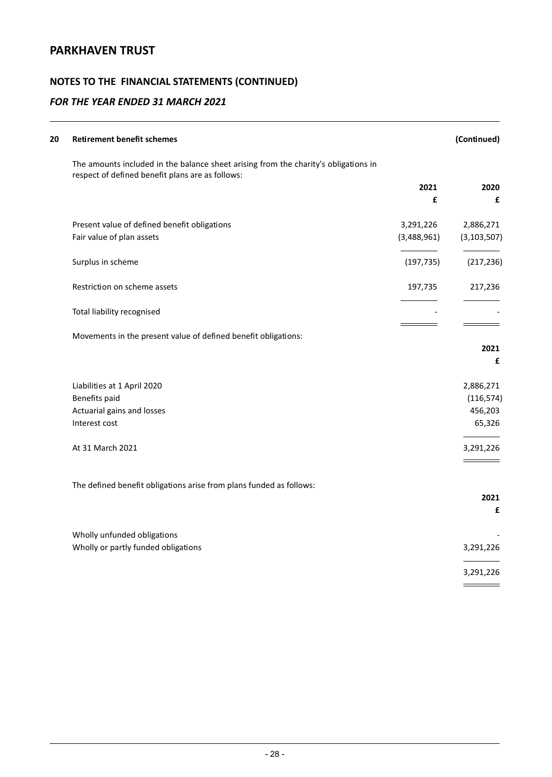# **NOTES TO THE FINANCIAL STATEMENTS (CONTINUED)**

| 20 | <b>Retirement benefit schemes</b>                                                                                                       |             | (Continued)   |
|----|-----------------------------------------------------------------------------------------------------------------------------------------|-------------|---------------|
|    | The amounts included in the balance sheet arising from the charity's obligations in<br>respect of defined benefit plans are as follows: |             |               |
|    |                                                                                                                                         | 2021<br>£   | 2020<br>£     |
|    | Present value of defined benefit obligations                                                                                            | 3,291,226   | 2,886,271     |
|    | Fair value of plan assets                                                                                                               | (3,488,961) | (3, 103, 507) |
|    | Surplus in scheme                                                                                                                       | (197, 735)  | (217, 236)    |
|    | Restriction on scheme assets                                                                                                            | 197,735     | 217,236       |
|    | Total liability recognised                                                                                                              |             |               |
|    | Movements in the present value of defined benefit obligations:                                                                          |             |               |
|    |                                                                                                                                         |             | 2021<br>£     |
|    | Liabilities at 1 April 2020                                                                                                             |             | 2,886,271     |
|    | Benefits paid                                                                                                                           |             | (116, 574)    |
|    | Actuarial gains and losses                                                                                                              |             | 456,203       |
|    | Interest cost                                                                                                                           |             | 65,326        |
|    | At 31 March 2021                                                                                                                        |             | 3,291,226     |
|    | The defined benefit obligations arise from plans funded as follows:                                                                     |             |               |
|    |                                                                                                                                         |             | 2021          |
|    |                                                                                                                                         |             | £             |
|    | Wholly unfunded obligations                                                                                                             |             |               |
|    | Wholly or partly funded obligations                                                                                                     |             | 3,291,226     |
|    |                                                                                                                                         |             | 3,291,226     |
|    |                                                                                                                                         |             |               |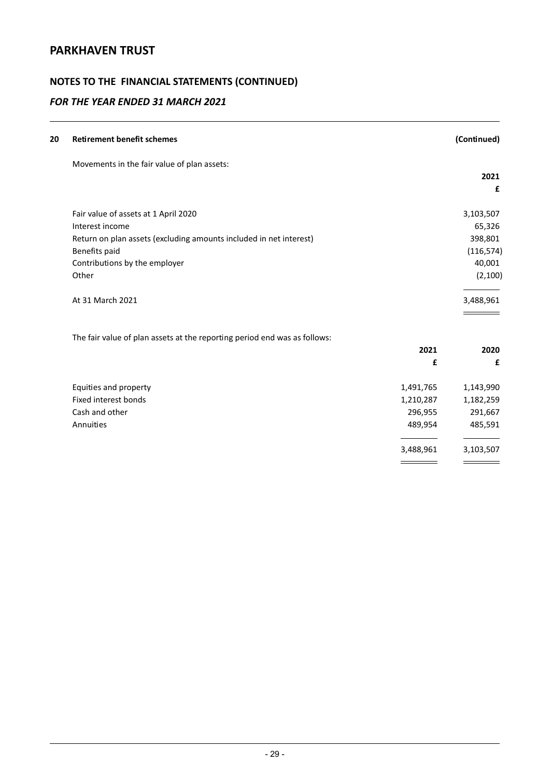# **NOTES TO THE FINANCIAL STATEMENTS (CONTINUED)**

| (Continued)            | <b>Retirement benefit schemes</b>                                         |
|------------------------|---------------------------------------------------------------------------|
|                        | Movements in the fair value of plan assets:                               |
| 2021                   |                                                                           |
|                        |                                                                           |
| 3,103,507              | Fair value of assets at 1 April 2020                                      |
| 65,326                 | Interest income                                                           |
| 398,801                | Return on plan assets (excluding amounts included in net interest)        |
| (116, 574)             | Benefits paid                                                             |
| 40,001                 | Contributions by the employer                                             |
| (2, 100)               | Other                                                                     |
| 3,488,961              | At 31 March 2021                                                          |
|                        | The fair value of plan assets at the reporting period end was as follows: |
| 2021<br>2020           |                                                                           |
| £                      |                                                                           |
| 1,143,990<br>1,491,765 | Equities and property                                                     |
|                        | <b>Fixed interest bonds</b>                                               |
| 1,182,259<br>1,210,287 |                                                                           |
| 296,955<br>291,667     | Cash and other                                                            |
| 489,954<br>485,591     | Annuities                                                                 |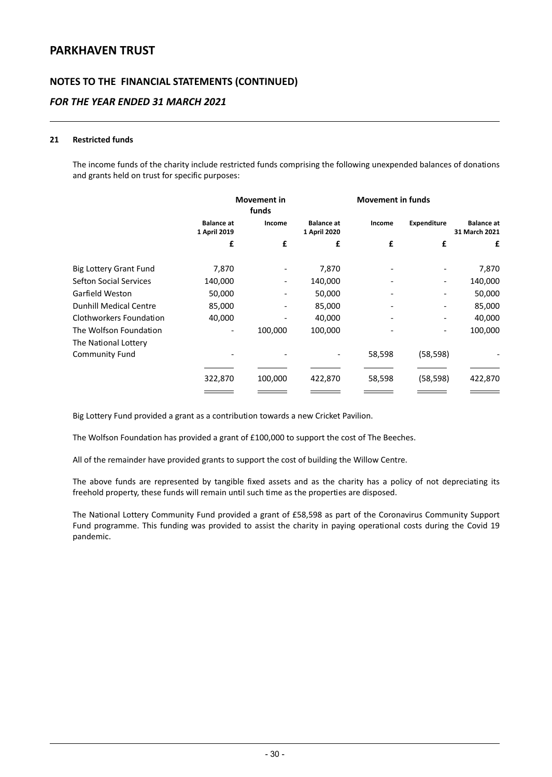### **NOTES TO THE FINANCIAL STATEMENTS (CONTINUED)**

### *FOR THE YEAR ENDED 31 MARCH 2021*

#### **21 Restricted funds**

The income funds of the charity include restricted funds comprising the following unexpended balances of donations and grants held on trust for specific purposes:

|                               |                                   | <b>Movement in</b><br>funds |                                   | <b>Movement in funds</b> |                    |                                    |
|-------------------------------|-----------------------------------|-----------------------------|-----------------------------------|--------------------------|--------------------|------------------------------------|
|                               | <b>Balance at</b><br>1 April 2019 | Income                      | <b>Balance at</b><br>1 April 2020 | Income                   | <b>Expenditure</b> | <b>Balance at</b><br>31 March 2021 |
|                               | £                                 | £                           | £                                 | £                        | £                  | £                                  |
| <b>Big Lottery Grant Fund</b> | 7,870                             |                             | 7,870                             |                          |                    | 7,870                              |
| <b>Sefton Social Services</b> | 140,000                           | $\overline{\phantom{a}}$    | 140,000                           |                          |                    | 140,000                            |
| Garfield Weston               | 50,000                            |                             | 50,000                            |                          |                    | 50,000                             |
| <b>Dunhill Medical Centre</b> | 85,000                            |                             | 85,000                            |                          |                    | 85,000                             |
| Clothworkers Foundation       | 40,000                            |                             | 40,000                            |                          |                    | 40,000                             |
| The Wolfson Foundation        |                                   | 100,000                     | 100,000                           |                          |                    | 100,000                            |
| The National Lottery          |                                   |                             |                                   |                          |                    |                                    |
| <b>Community Fund</b>         |                                   |                             |                                   | 58,598                   | (58, 598)          |                                    |
|                               |                                   |                             |                                   |                          |                    |                                    |
|                               | 322,870                           | 100,000                     | 422,870                           | 58,598                   | (58, 598)          | 422,870                            |
|                               |                                   |                             |                                   |                          |                    |                                    |

Big Lottery Fund provided a grant as a contribution towards a new Cricket Pavilion.

The Wolfson Foundation has provided a grant of £100,000 to support the cost of The Beeches.

All of the remainder have provided grants to support the cost of building the Willow Centre.

The above funds are represented by tangible fixed assets and as the charity has a policy of not depreciating its freehold property, these funds will remain until such time as the properties are disposed.

The National Lottery Community Fund provided a grant of £58,598 as part of the Coronavirus Community Support Fund programme. This funding was provided to assist the charity in paying operational costs during the Covid 19 pandemic.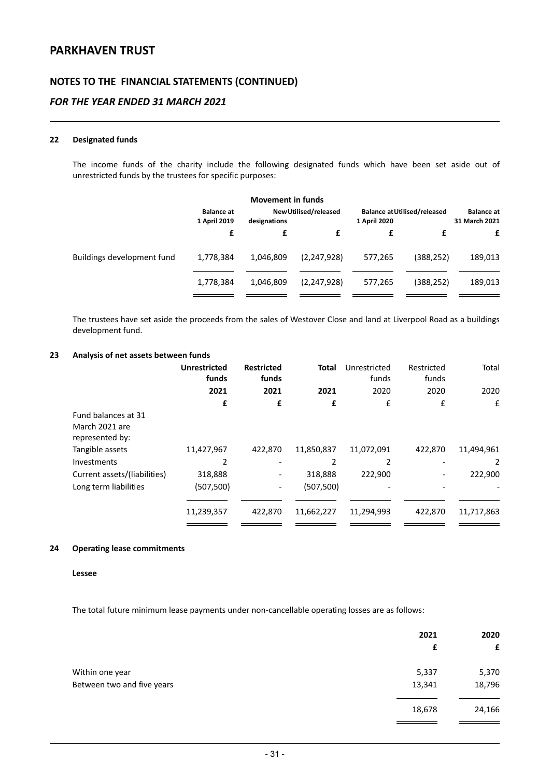### **NOTES TO THE FINANCIAL STATEMENTS (CONTINUED)**

### *FOR THE YEAR ENDED 31 MARCH 2021*

#### **22 Designated funds**

The income funds of the charity include the following designated funds which have been set aside out of unrestricted funds by the trustees for specific purposes:

|                            |                                   | <b>Movement in funds</b> |                       |              |                                     |                                    |
|----------------------------|-----------------------------------|--------------------------|-----------------------|--------------|-------------------------------------|------------------------------------|
|                            | <b>Balance at</b><br>1 April 2019 | designations             | New Utilised/released | 1 April 2020 | <b>Balance at Utilised/released</b> | <b>Balance</b> at<br>31 March 2021 |
|                            | £                                 | £                        |                       | £            | f                                   | £                                  |
| Buildings development fund | 1,778,384                         | 1,046,809                | (2,247,928)           | 577,265      | (388, 252)                          | 189,013                            |
|                            | 1,778,384                         | 1,046,809                | (2,247,928)           | 577,265      | (388, 252)                          | 189,013                            |
|                            |                                   |                          |                       |              |                                     |                                    |

The trustees have set aside the proceeds from the sales of Westover Close and land at Liverpool Road as a buildings development fund.

#### **23 Analysis of net assets between funds**

|                                                          | <b>Unrestricted</b><br>funds | <b>Restricted</b><br>funds | <b>Total</b> | Unrestricted<br>funds | Restricted<br>funds | Total      |
|----------------------------------------------------------|------------------------------|----------------------------|--------------|-----------------------|---------------------|------------|
|                                                          | 2021                         | 2021                       | 2021         | 2020                  | 2020                | 2020       |
|                                                          | £                            | £                          | £            | £                     | £                   | £          |
| Fund balances at 31<br>March 2021 are<br>represented by: |                              |                            |              |                       |                     |            |
| Tangible assets                                          | 11,427,967                   | 422,870                    | 11,850,837   | 11,072,091            | 422,870             | 11,494,961 |
| Investments                                              | 2                            |                            |              | 2                     |                     | 2          |
| Current assets/(liabilities)                             | 318,888                      |                            | 318,888      | 222,900               |                     | 222,900    |
| Long term liabilities                                    | (507,500)                    | $\overline{\phantom{a}}$   | (507, 500)   |                       |                     |            |
|                                                          | 11,239,357                   | 422,870                    | 11,662,227   | 11,294,993            | 422,870             | 11,717,863 |
|                                                          |                              |                            |              |                       |                     |            |

#### **24 Operating lease commitments**

#### **Lessee**

The total future minimum lease payments under non-cancellable operating losses are as follows:

|                            | 2021<br>£ | 2020<br>£ |
|----------------------------|-----------|-----------|
| Within one year            | 5,337     | 5,370     |
| Between two and five years | 13,341    | 18,796    |
|                            | 18,678    | 24,166    |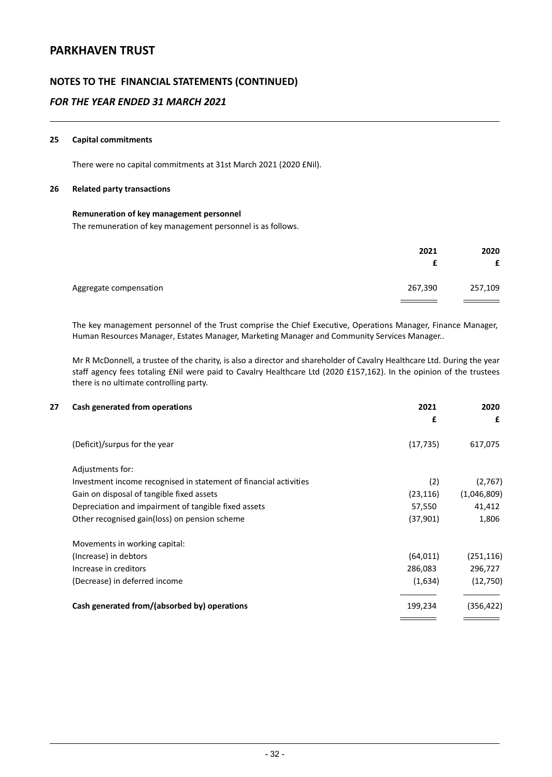### **NOTES TO THE FINANCIAL STATEMENTS (CONTINUED)**

### *FOR THE YEAR ENDED 31 MARCH 2021*

#### **25 Capital commitments**

There were no capital commitments at 31st March 2021 (2020 £Nil).

#### **26 Related party transactions**

#### **Remuneration of key management personnel**

The remuneration of key management personnel is as follows.

|                        | 2021    | 2020<br>£ |
|------------------------|---------|-----------|
| Aggregate compensation | 267,390 | 257,109   |

The key management personnel of the Trust comprise the Chief Executive, Operations Manager, Finance Manager, Human Resources Manager, Estates Manager, Marketing Manager and Community Services Manager..

Mr R McDonnell, a trustee of the charity, is also a director and shareholder of Cavalry Healthcare Ltd. During the year staff agency fees totaling £Nil were paid to Cavalry Healthcare Ltd (2020 £157,162). In the opinion of the trustees there is no ultimate controlling party.

| Cash generated from operations                                    | 2021      | 2020        |
|-------------------------------------------------------------------|-----------|-------------|
|                                                                   | £         | £           |
| (Deficit)/surpus for the year                                     | (17, 735) | 617,075     |
| Adjustments for:                                                  |           |             |
| Investment income recognised in statement of financial activities | (2)       | (2,767)     |
| Gain on disposal of tangible fixed assets                         | (23, 116) | (1,046,809) |
| Depreciation and impairment of tangible fixed assets              | 57,550    | 41,412      |
| Other recognised gain(loss) on pension scheme                     | (37,901)  | 1,806       |
| Movements in working capital:                                     |           |             |
| (Increase) in debtors                                             | (64, 011) | (251, 116)  |
| Increase in creditors                                             | 286,083   | 296,727     |
| (Decrease) in deferred income                                     | (1,634)   | (12,750)    |
| Cash generated from/(absorbed by) operations                      | 199,234   | (356, 422)  |
|                                                                   |           |             |